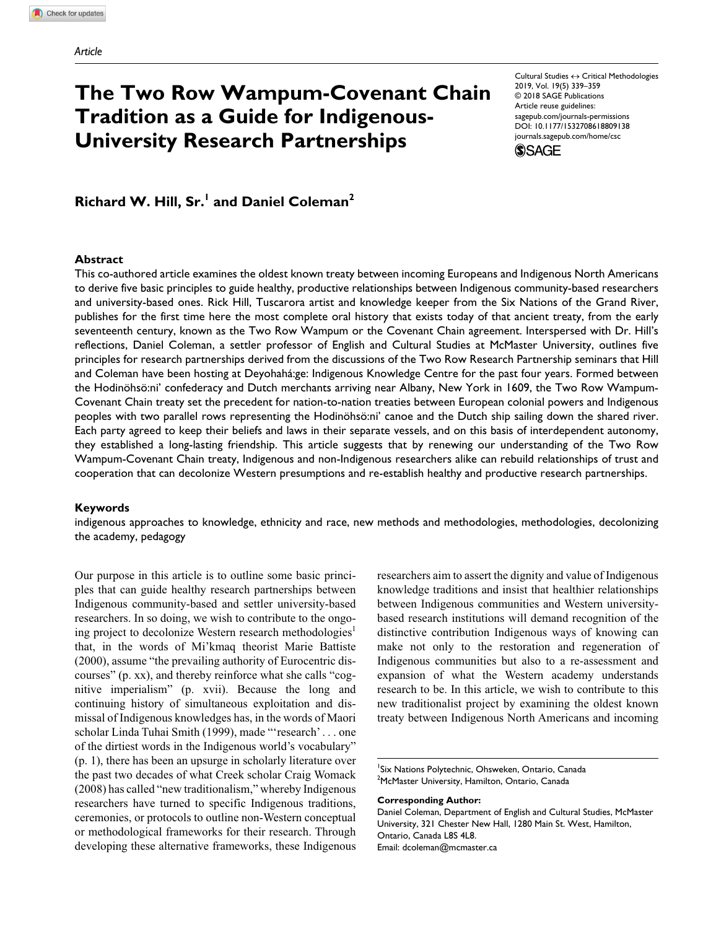# **The Two Row Wampum-Covenant Chain Tradition as a Guide for Indigenous-**<br> **Liniversity Pesearch Partnerships University Research Partnerships Example 19 SAGE**

DOI: 10.1177/1532708618809138 Cultural Studies ↔ Critical Methodologies 2019, Vol. 19(5) 339–359 © 2018 SAGE Publications Article reuse guidelines: [sagepub.com/journals-permissions](https://us.sagepub.com/en-us/journals-permissions) 



## **Richard W. Hill, Sr.1 and Daniel Coleman2**

### **Abstract**

This co-authored article examines the oldest known treaty between incoming Europeans and Indigenous North Americans to derive five basic principles to guide healthy, productive relationships between Indigenous community-based researchers and university-based ones. Rick Hill, Tuscarora artist and knowledge keeper from the Six Nations of the Grand River, publishes for the first time here the most complete oral history that exists today of that ancient treaty, from the early seventeenth century, known as the Two Row Wampum or the Covenant Chain agreement. Interspersed with Dr. Hill's reflections, Daniel Coleman, a settler professor of English and Cultural Studies at McMaster University, outlines five principles for research partnerships derived from the discussions of the Two Row Research Partnership seminars that Hill and Coleman have been hosting at Deyohahá:ge: Indigenous Knowledge Centre for the past four years. Formed between the Hodinöhsö:ni' confederacy and Dutch merchants arriving near Albany, New York in 1609, the Two Row Wampum-Covenant Chain treaty set the precedent for nation-to-nation treaties between European colonial powers and Indigenous peoples with two parallel rows representing the Hodinöhsö:ni' canoe and the Dutch ship sailing down the shared river. Each party agreed to keep their beliefs and laws in their separate vessels, and on this basis of interdependent autonomy, they established a long-lasting friendship. This article suggests that by renewing our understanding of the Two Row Wampum-Covenant Chain treaty, Indigenous and non-Indigenous researchers alike can rebuild relationships of trust and cooperation that can decolonize Western presumptions and re-establish healthy and productive research partnerships.

### **Keywords**

indigenous approaches to knowledge, ethnicity and race, new methods and methodologies, methodologies, decolonizing the academy, pedagogy

Our purpose in this article is to outline some basic principles that can guide healthy research partnerships between Indigenous community-based and settler university-based researchers. In so doing, we wish to contribute to the ongoing project to decolonize Western research methodologies<sup>1</sup> that, in the words of Mi'kmaq theorist Marie Battiste (2000), assume "the prevailing authority of Eurocentric discourses" (p. xx), and thereby reinforce what she calls "cognitive imperialism" (p. xvii). Because the long and continuing history of simultaneous exploitation and dismissal of Indigenous knowledges has, in the words of Maori scholar Linda Tuhai Smith (1999), made "'research' . . . one of the dirtiest words in the Indigenous world's vocabulary" (p. 1), there has been an upsurge in scholarly literature over the past two decades of what Creek scholar Craig Womack (2008) has called "new traditionalism," whereby Indigenous researchers have turned to specific Indigenous traditions, ceremonies, or protocols to outline non-Western conceptual or methodological frameworks for their research. Through developing these alternative frameworks, these Indigenous

researchers aim to assert the dignity and value of Indigenous knowledge traditions and insist that healthier relationships between Indigenous communities and Western universitybased research institutions will demand recognition of the distinctive contribution Indigenous ways of knowing can make not only to the restoration and regeneration of Indigenous communities but also to a re-assessment and expansion of what the Western academy understands research to be. In this article, we wish to contribute to this new traditionalist project by examining the oldest known treaty between Indigenous North Americans and incoming

#### **Corresponding Author:**

Daniel Coleman, Department of English and Cultural Studies, McMaster University, 321 Chester New Hall, 1280 Main St. West, Hamilton, Ontario, Canada L8S 4L8. Email: [dcoleman@mcmaster.ca](mailto:dcoleman@mcmaster.ca) 

<sup>&</sup>lt;sup>1</sup>Six Nations Polytechnic, Ohsweken, Ontario, Canada <sup>2</sup>McMaster University, Hamilton, Ontario, Canada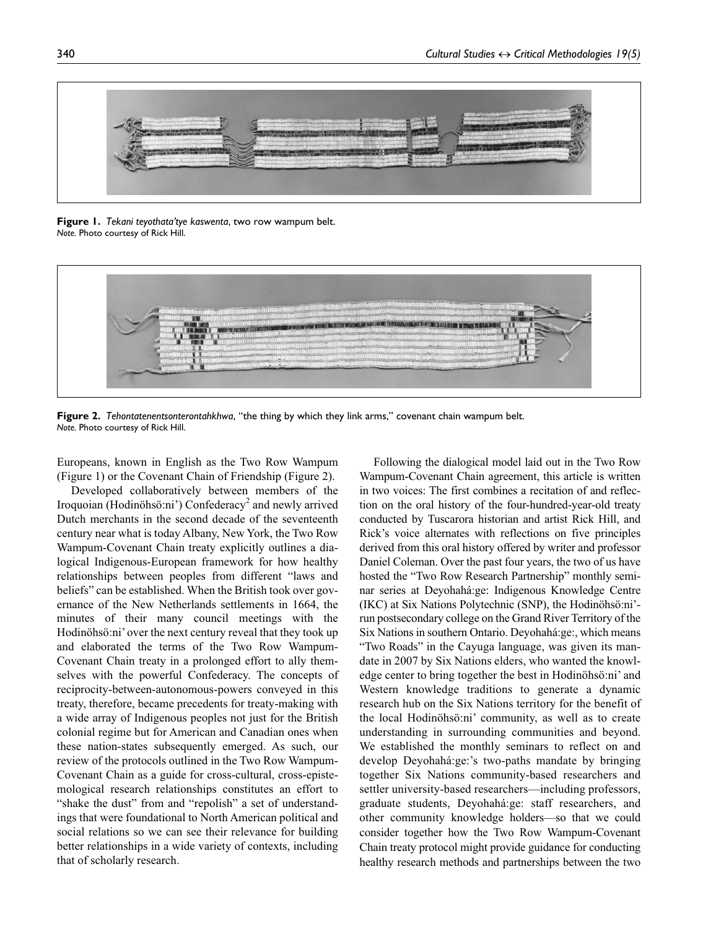

**Figure 1.** *Tekani teyothata'tye kaswenta*, two row wampum belt. *Note.* Photo courtesy of Rick Hill.



**Figure 2.** *Tehontatenentsonterontahkhwa*, "the thing by which they link arms," covenant chain wampum belt. *Note.* Photo courtesy of Rick Hill.

Europeans, known in English as the Two Row Wampum (Figure 1) or the Covenant Chain of Friendship (Figure 2).

Developed collaboratively between members of the Iroquoian (Hodinöhsö:ni') Confederacy<sup>2</sup> and newly arrived Dutch merchants in the second decade of the seventeenth century near what is today Albany, New York, the Two Row Wampum-Covenant Chain treaty explicitly outlines a dialogical Indigenous-European framework for how healthy relationships between peoples from different "laws and beliefs" can be established. When the British took over governance of the New Netherlands settlements in 1664, the minutes of their many council meetings with the Hodinöhsö:ni' over the next century reveal that they took up and elaborated the terms of the Two Row Wampum-Covenant Chain treaty in a prolonged effort to ally themselves with the powerful Confederacy. The concepts of reciprocity-between-autonomous-powers conveyed in this treaty, therefore, became precedents for treaty-making with a wide array of Indigenous peoples not just for the British colonial regime but for American and Canadian ones when these nation-states subsequently emerged. As such, our review of the protocols outlined in the Two Row Wampum-Covenant Chain as a guide for cross-cultural, cross-epistemological research relationships constitutes an effort to "shake the dust" from and "repolish" a set of understandings that were foundational to North American political and social relations so we can see their relevance for building better relationships in a wide variety of contexts, including that of scholarly research.

 "Two Roads" in the Cayuga language, was given its man-Following the dialogical model laid out in the Two Row Wampum-Covenant Chain agreement, this article is written in two voices: The first combines a recitation of and reflection on the oral history of the four-hundred-year-old treaty conducted by Tuscarora historian and artist Rick Hill, and Rick's voice alternates with reflections on five principles derived from this oral history offered by writer and professor Daniel Coleman. Over the past four years, the two of us have hosted the "Two Row Research Partnership" monthly seminar series at Deyohahá:ge: Indigenous Knowledge Centre (IKC) at Six Nations Polytechnic (SNP), the Hodinöhsö:ni' run postsecondary college on the Grand River Territory of the Six Nations in southern Ontario. Deyohahá:ge:, which means date in 2007 by Six Nations elders, who wanted the knowledge center to bring together the best in Hodinöhsö:ni' and Western knowledge traditions to generate a dynamic research hub on the Six Nations territory for the benefit of the local Hodinöhsö:ni' community, as well as to create understanding in surrounding communities and beyond. We established the monthly seminars to reflect on and develop Deyohahá:ge:'s two-paths mandate by bringing together Six Nations community-based researchers and settler university-based researchers—including professors, graduate students, Deyohahá:ge: staff researchers, and other community knowledge holders—so that we could consider together how the Two Row Wampum-Covenant Chain treaty protocol might provide guidance for conducting healthy research methods and partnerships between the two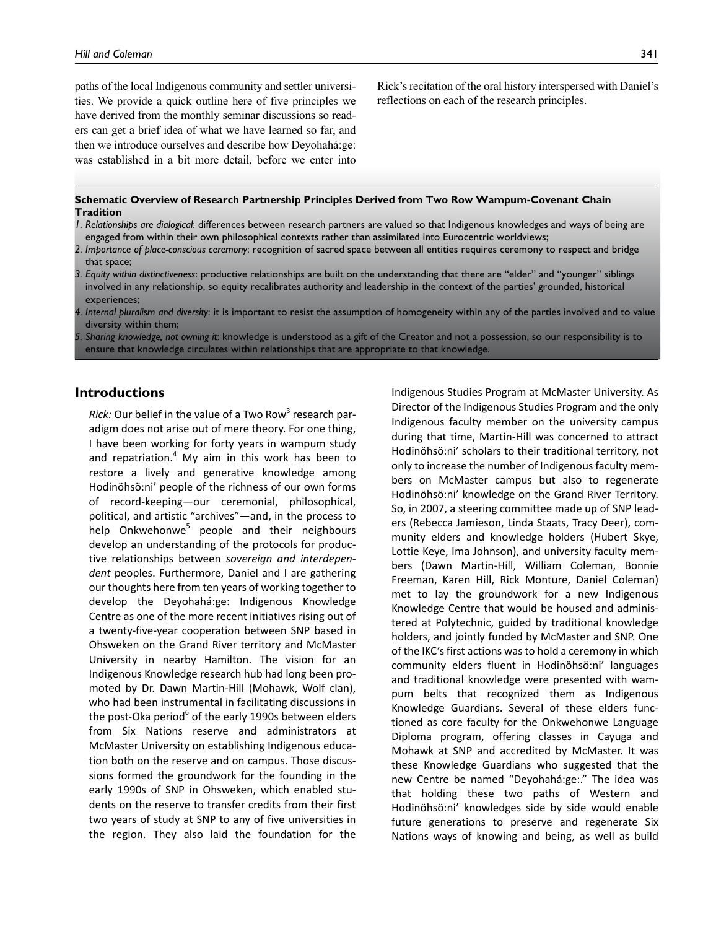paths of the local Indigenous community and settler universities. We provide a quick outline here of five principles we have derived from the monthly seminar discussions so readers can get a brief idea of what we have learned so far, and then we introduce ourselves and describe how Deyohahá:ge: was established in a bit more detail, before we enter into

Rick's recitation of the oral history interspersed with Daniel's reflections on each of the research principles.

#### **Schematic Overview of Research Partnership Principles Derived from Two Row Wampum-Covenant Chain Tradition**

- *1. Relationships are dialogical*: differences between research partners are valued so that Indigenous knowledges and ways of being are engaged from within their own philosophical contexts rather than assimilated into Eurocentric worldviews;
- *2. Importance of place-conscious ceremony*: recognition of sacred space between all entities requires ceremony to respect and bridge that space;
- *3. Equity within distinctiveness*: productive relationships are built on the understanding that there are "elder" and "younger" siblings involved in any relationship, so equity recalibrates authority and leadership in the context of the parties' grounded, historical experiences;
- *4. Internal pluralism and diversity*: it is important to resist the assumption of homogeneity within any of the parties involved and to value diversity within them;
- *5. Sharing knowledge, not owning it*: knowledge is understood as a gift of the Creator and not a possession, so our responsibility is to ensure that knowledge circulates within relationships that are appropriate to that knowledge.

### **Introductions**

Rick: Our belief in the value of a Two Row<sup>3</sup> research paradigm does not arise out of mere theory. For one thing, I have been working for forty years in wampum study and repatriation.<sup>4</sup> My aim in this work has been to restore a lively and generative knowledge among Hodinöhsö:ni' people of the richness of our own forms of record-keeping—our ceremonial, philosophical, political, and artistic "archives"—and, in the process to help Onkwehonwe<sup>5</sup> people and their neighbours develop an understanding of the protocols for productive relationships between *sovereign and interdependent* peoples. Furthermore, Daniel and I are gathering our thoughts here from ten years of working together to develop the Deyohahá:ge: Indigenous Knowledge Centre as one of the more recent initiatives rising out of a twenty-five-year cooperation between SNP based in Ohsweken on the Grand River territory and McMaster University in nearby Hamilton. The vision for an Indigenous Knowledge research hub had long been promoted by Dr. Dawn Martin-Hill (Mohawk, Wolf clan), who had been instrumental in facilitating discussions in the post-Oka period<sup>6</sup> of the early 1990s between elders from Six Nations reserve and administrators at McMaster University on establishing Indigenous education both on the reserve and on campus. Those discussions formed the groundwork for the founding in the early 1990s of SNP in Ohsweken, which enabled students on the reserve to transfer credits from their first two years of study at SNP to any of five universities in the region. They also laid the foundation for the

Indigenous Studies Program at McMaster University. As Director of the Indigenous Studies Program and the only Indigenous faculty member on the university campus during that time, Martin-Hill was concerned to attract Hodinöhsö:ni' scholars to their traditional territory, not only to increase the number of Indigenous faculty members on McMaster campus but also to regenerate Hodinöhsö:ni' knowledge on the Grand River Territory. So, in 2007, a steering committee made up of SNP leaders (Rebecca Jamieson, Linda Staats, Tracy Deer), community elders and knowledge holders (Hubert Skye, Lottie Keye, Ima Johnson), and university faculty members (Dawn Martin-Hill, William Coleman, Bonnie Freeman, Karen Hill, Rick Monture, Daniel Coleman) met to lay the groundwork for a new Indigenous Knowledge Centre that would be housed and administered at Polytechnic, guided by traditional knowledge holders, and jointly funded by McMaster and SNP. One of the IKC's first actions was to hold a ceremony in which community elders fluent in Hodinöhsö:ni' languages and traditional knowledge were presented with wampum belts that recognized them as Indigenous Knowledge Guardians. Several of these elders functioned as core faculty for the Onkwehonwe Language Diploma program, offering classes in Cayuga and Mohawk at SNP and accredited by McMaster. It was these Knowledge Guardians who suggested that the new Centre be named "Deyohahá:ge:." The idea was that holding these two paths of Western and Hodinöhsö:ni' knowledges side by side would enable future generations to preserve and regenerate Six Nations ways of knowing and being, as well as build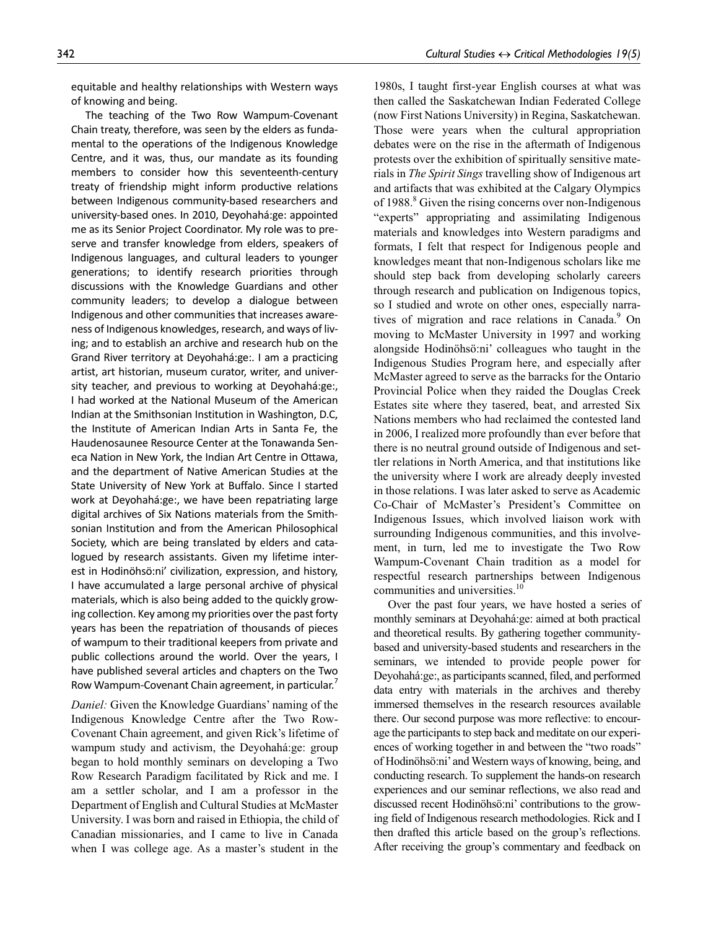equitable and healthy relationships with Western ways of knowing and being.

The teaching of the Two Row Wampum-Covenant Chain treaty, therefore, was seen by the elders as fundamental to the operations of the Indigenous Knowledge Centre, and it was, thus, our mandate as its founding members to consider how this seventeenth-century treaty of friendship might inform productive relations between Indigenous community-based researchers and university-based ones. In 2010, Deyohahá:ge: appointed me as its Senior Project Coordinator. My role was to preserve and transfer knowledge from elders, speakers of Indigenous languages, and cultural leaders to younger generations; to identify research priorities through discussions with the Knowledge Guardians and other community leaders; to develop a dialogue between Indigenous and other communities that increases awareness of Indigenous knowledges, research, and ways of living; and to establish an archive and research hub on the Grand River territory at Deyohahá:ge:. I am a practicing artist, art historian, museum curator, writer, and university teacher, and previous to working at Deyohahá:ge:, I had worked at the National Museum of the American Indian at the Smithsonian Institution in Washington, D.C, the Institute of American Indian Arts in Santa Fe, the Haudenosaunee Resource Center at the Tonawanda Seneca Nation in New York, the Indian Art Centre in Ottawa, and the department of Native American Studies at the State University of New York at Buffalo. Since I started work at Deyohahá:ge:, we have been repatriating large digital archives of Six Nations materials from the Smithsonian Institution and from the American Philosophical Society, which are being translated by elders and catalogued by research assistants. Given my lifetime interest in Hodinöhsö:ni' civilization, expression, and history, I have accumulated a large personal archive of physical materials, which is also being added to the quickly growing collection. Key among my priorities over the past forty years has been the repatriation of thousands of pieces of wampum to their traditional keepers from private and public collections around the world. Over the years, I have published several articles and chapters on the Two Row Wampum-Covenant Chain agreement, in particular.<sup>7</sup>

*Daniel:* Given the Knowledge Guardians' naming of the Indigenous Knowledge Centre after the Two Row-Covenant Chain agreement, and given Rick's lifetime of wampum study and activism, the Deyohahá:ge: group began to hold monthly seminars on developing a Two Row Research Paradigm facilitated by Rick and me. I am a settler scholar, and I am a professor in the Department of English and Cultural Studies at McMaster University. I was born and raised in Ethiopia, the child of Canadian missionaries, and I came to live in Canada when I was college age. As a master's student in the

1980s, I taught first-year English courses at what was then called the Saskatchewan Indian Federated College (now First Nations University) in Regina, Saskatchewan. Those were years when the cultural appropriation debates were on the rise in the aftermath of Indigenous protests over the exhibition of spiritually sensitive materials in *The Spirit Sings* travelling show of Indigenous art and artifacts that was exhibited at the Calgary Olympics of 1988.<sup>8</sup> Given the rising concerns over non-Indigenous "experts" appropriating and assimilating Indigenous materials and knowledges into Western paradigms and formats, I felt that respect for Indigenous people and knowledges meant that non-Indigenous scholars like me should step back from developing scholarly careers through research and publication on Indigenous topics, so I studied and wrote on other ones, especially narratives of migration and race relations in Canada.<sup>9</sup> On moving to McMaster University in 1997 and working alongside Hodinöhsö:ni' colleagues who taught in the Indigenous Studies Program here, and especially after McMaster agreed to serve as the barracks for the Ontario Provincial Police when they raided the Douglas Creek Estates site where they tasered, beat, and arrested Six Nations members who had reclaimed the contested land in 2006, I realized more profoundly than ever before that there is no neutral ground outside of Indigenous and settler relations in North America, and that institutions like the university where I work are already deeply invested in those relations. I was later asked to serve as Academic Co-Chair of McMaster's President's Committee on Indigenous Issues, which involved liaison work with surrounding Indigenous communities, and this involvement, in turn, led me to investigate the Two Row Wampum-Covenant Chain tradition as a model for respectful research partnerships between Indigenous communities and [universities.](https://universities.10)<sup>10</sup>

Over the past four years, we have hosted a series of monthly seminars at Deyohahá:ge: aimed at both practical and theoretical results. By gathering together communitybased and university-based students and researchers in the seminars, we intended to provide people power for Deyohahá:ge:, as participants scanned, filed, and performed data entry with materials in the archives and thereby immersed themselves in the research resources available there. Our second purpose was more reflective: to encourage the participants to step back and meditate on our experiences of working together in and between the "two roads" of Hodinöhsö:ni' and Western ways of knowing, being, and conducting research. To supplement the hands-on research experiences and our seminar reflections, we also read and discussed recent Hodinöhsö:ni' contributions to the growing field of Indigenous research methodologies. Rick and I then drafted this article based on the group's reflections. After receiving the group's commentary and feedback on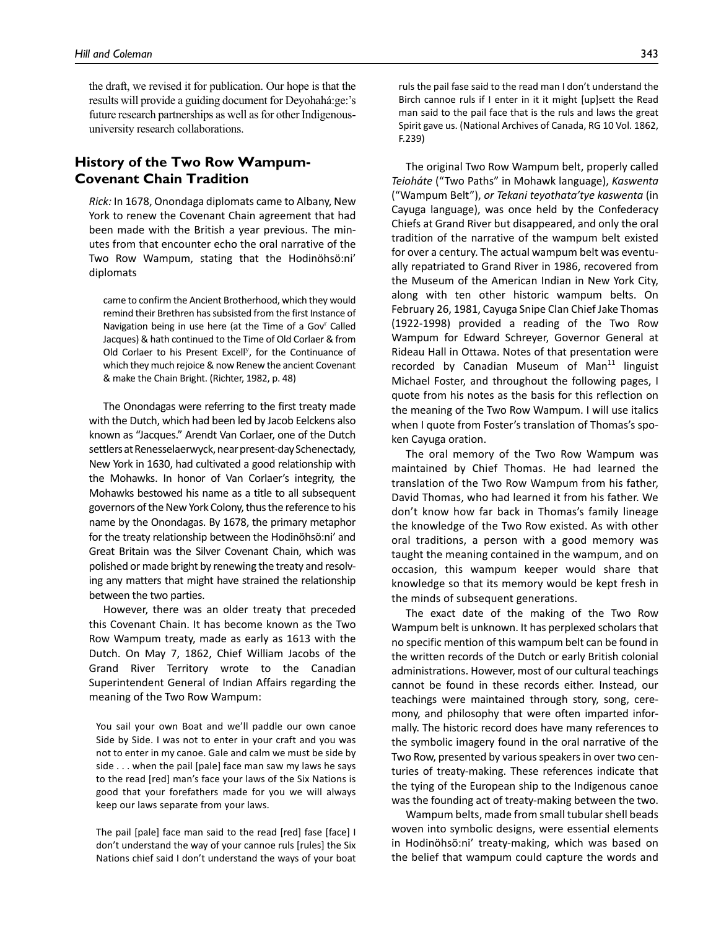the draft, we revised it for publication. Our hope is that the results will provide a guiding document for Deyohahá:ge:'s future research partnerships as well as for other Indigenousuniversity research collaborations.

### **History of the Two Row Wampum-Covenant Chain Tradition**

*Rick:* In 1678, Onondaga diplomats came to Albany, New York to renew the Covenant Chain agreement that had been made with the British a year previous. The minutes from that encounter echo the oral narrative of the Two Row Wampum, stating that the Hodinöhsö:ni' diplomats

came to confirm the Ancient Brotherhood, which they would remind their Brethren has subsisted from the first Instance of Navigation being in use here (at the Time of a Gov<sup>r</sup> Called Jacques) & hath continued to the Time of Old Corlaer & from Old Corlaer to his Present Excell<sup>y</sup>, for the Continuance of which they much rejoice & now Renew the ancient Covenant & make the Chain Bright. (Richter, 1982, p. 48)

The Onondagas were referring to the first treaty made with the Dutch, which had been led by Jacob Eelckens also known as "Jacques." Arendt Van Corlaer, one of the Dutch settlers at Renesselaerwyck, near present-day Schenectady, New York in 1630, had cultivated a good relationship with the Mohawks. In honor of Van Corlaer's integrity, the Mohawks bestowed his name as a title to all subsequent governors of the New York Colony, thus the reference to his name by the Onondagas. By 1678, the primary metaphor for the treaty relationship between the Hodinöhsö:ni' and Great Britain was the Silver Covenant Chain, which was polished or made bright by renewing the treaty and resolving any matters that might have strained the relationship between the two parties.

However, there was an older treaty that preceded this Covenant Chain. It has become known as the Two Row Wampum treaty, made as early as 1613 with the Dutch. On May 7, 1862, Chief William Jacobs of the Grand River Territory wrote to the Canadian Superintendent General of Indian Affairs regarding the meaning of the Two Row Wampum:

You sail your own Boat and we'll paddle our own canoe Side by Side. I was not to enter in your craft and you was not to enter in my canoe. Gale and calm we must be side by side . . . when the pail [pale] face man saw my laws he says to the read [red] man's face your laws of the Six Nations is good that your forefathers made for you we will always keep our laws separate from your laws.

The pail [pale] face man said to the read [red] fase [face] I don't understand the way of your cannoe ruls [rules] the Six Nations chief said I don't understand the ways of your boat ruls the pail fase said to the read man I don't understand the Birch cannoe ruls if I enter in it it might [up]sett the Read man said to the pail face that is the ruls and laws the great Spirit gave us. (National Archives of Canada, RG 10 Vol. 1862, F.239)

The original Two Row Wampum belt, properly called *Teioháte* ("Two Paths" in Mohawk language), *Kaswenta*  ("Wampum Belt"), *or Tekani teyothata'tye kaswenta* (in Cayuga language), was once held by the Confederacy Chiefs at Grand River but disappeared, and only the oral tradition of the narrative of the wampum belt existed for over a century. The actual wampum belt was eventually repatriated to Grand River in 1986, recovered from the Museum of the American Indian in New York City, along with ten other historic wampum belts. On February 26, 1981, Cayuga Snipe Clan Chief Jake Thomas (1922-1998) provided a reading of the Two Row Wampum for Edward Schreyer, Governor General at Rideau Hall in Ottawa. Notes of that presentation were recorded by Canadian Museum of Man $^{11}$  linguist Michael Foster, and throughout the following pages, I quote from his notes as the basis for this reflection on the meaning of the Two Row Wampum. I will use italics when I quote from Foster's translation of Thomas's spoken Cayuga oration.

The oral memory of the Two Row Wampum was maintained by Chief Thomas. He had learned the translation of the Two Row Wampum from his father, David Thomas, who had learned it from his father. We don't know how far back in Thomas's family lineage the knowledge of the Two Row existed. As with other oral traditions, a person with a good memory was taught the meaning contained in the wampum, and on occasion, this wampum keeper would share that knowledge so that its memory would be kept fresh in the minds of subsequent generations.

The exact date of the making of the Two Row Wampum belt is unknown. It has perplexed scholars that no specific mention of this wampum belt can be found in the written records of the Dutch or early British colonial administrations. However, most of our cultural teachings cannot be found in these records either. Instead, our teachings were maintained through story, song, ceremony, and philosophy that were often imparted informally. The historic record does have many references to the symbolic imagery found in the oral narrative of the Two Row, presented by various speakers in over two centuries of treaty-making. These references indicate that the tying of the European ship to the Indigenous canoe was the founding act of treaty-making between the two.

Wampum belts, made from small tubular shell beads woven into symbolic designs, were essential elements in Hodinöhsö:ni' treaty-making, which was based on the belief that wampum could capture the words and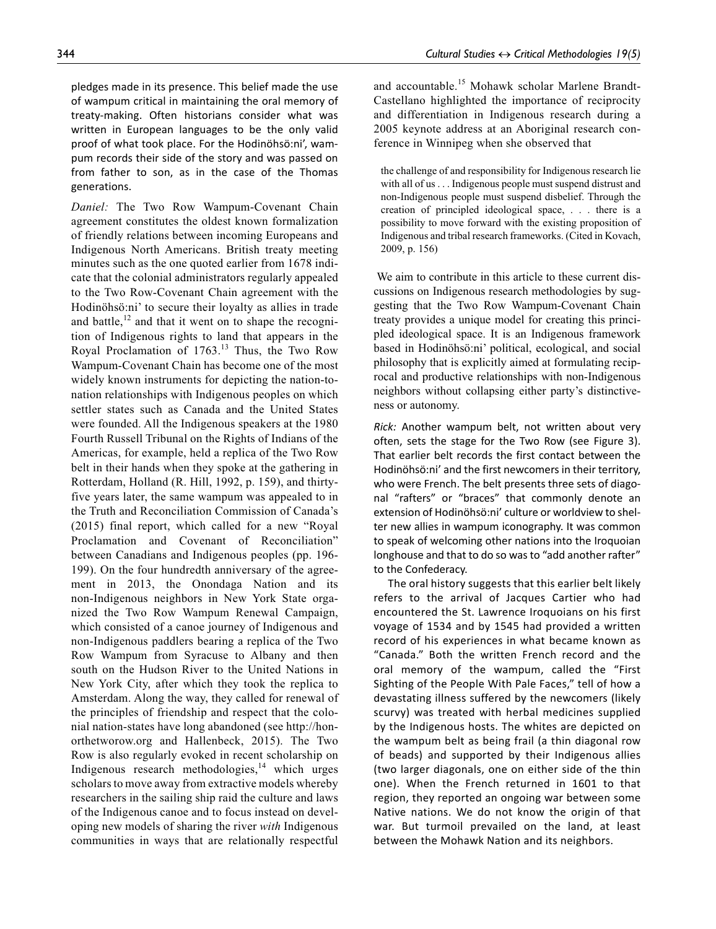pledges made in its presence. This belief made the use of wampum critical in maintaining the oral memory of treaty-making. Often historians consider what was written in European languages to be the only valid proof of what took place. For the Hodinöhsö:ni', wampum records their side of the story and was passed on from father to son, as in the case of the Thomas generations.

*Daniel:* The Two Row Wampum-Covenant Chain agreement constitutes the oldest known formalization of friendly relations between incoming Europeans and Indigenous North Americans. British treaty meeting minutes such as the one quoted earlier from 1678 indicate that the colonial administrators regularly appealed to the Two Row-Covenant Chain agreement with the Hodinöhsö:ni' to secure their loyalty as allies in trade and battle, $12$  and that it went on to shape the recognition of Indigenous rights to land that appears in the Royal Proclamation of  $1763$ <sup>13</sup> Thus, the Two Row Wampum-Covenant Chain has become one of the most widely known instruments for depicting the nation-tonation relationships with Indigenous peoples on which settler states such as Canada and the United States were founded. All the Indigenous speakers at the 1980 Fourth Russell Tribunal on the Rights of Indians of the Americas, for example, held a replica of the Two Row belt in their hands when they spoke at the gathering in Rotterdam, Holland (R. Hill, 1992, p. 159), and thirtyfive years later, the same wampum was appealed to in the Truth and Reconciliation Commission of Canada's (2015) final report, which called for a new "Royal Proclamation and Covenant of Reconciliation" between Canadians and Indigenous peoples (pp. 196- 199). On the four hundredth anniversary of the agreement in 2013, the Onondaga Nation and its non-Indigenous neighbors in New York State organized the Two Row Wampum Renewal Campaign, which consisted of a canoe journey of Indigenous and non-Indigenous paddlers bearing a replica of the Two Row Wampum from Syracuse to Albany and then south on the Hudson River to the United Nations in New York City, after which they took the replica to Amsterdam. Along the way, they called for renewal of the principles of friendship and respect that the colonial nation-states have long abandoned (see [http://hon](http://honorthetworow.org)[orthetworow.org](http://honorthetworow.org) and Hallenbeck, 2015). The Two Row is also regularly evoked in recent scholarship on Indigenous research methodologies, $14$  which urges scholars to move away from extractive models whereby researchers in the sailing ship raid the culture and laws of the Indigenous canoe and to focus instead on developing new models of sharing the river *with* Indigenous communities in ways that are relationally respectful

344 *Cultural Studies* ↔ *Critical Methodologies 19(5)* 

and [accountable.](https://accountable.15)15 Mohawk scholar Marlene Brandt-Castellano highlighted the importance of reciprocity and differentiation in Indigenous research during a 2005 keynote address at an Aboriginal research conference in Winnipeg when she observed that

the challenge of and responsibility for Indigenous research lie with all of us . . . Indigenous people must suspend distrust and non-Indigenous people must suspend disbelief. Through the creation of principled ideological space, . . . there is a possibility to move forward with the existing proposition of Indigenous and tribal research frameworks. (Cited in Kovach, 2009, p. 156)

We aim to contribute in this article to these current discussions on Indigenous research methodologies by suggesting that the Two Row Wampum-Covenant Chain treaty provides a unique model for creating this principled ideological space. It is an Indigenous framework based in Hodinöhsö:ni' political, ecological, and social philosophy that is explicitly aimed at formulating reciprocal and productive relationships with non-Indigenous neighbors without collapsing either party's distinctiveness or autonomy.

*Rick:* Another wampum belt, not written about very often, sets the stage for the Two Row (see Figure 3). That earlier belt records the first contact between the Hodinöhsö:ni' and the first newcomers in their territory, who were French. The belt presents three sets of diagonal "rafters" or "braces" that commonly denote an extension of Hodinöhsö:ni' culture or worldview to shelter new allies in wampum iconography. It was common to speak of welcoming other nations into the Iroquoian longhouse and that to do so was to "add another rafter" to the Confederacy.

The oral history suggests that this earlier belt likely refers to the arrival of Jacques Cartier who had encountered the St. Lawrence Iroquoians on his first voyage of 1534 and by 1545 had provided a written record of his experiences in what became known as "Canada." Both the written French record and the oral memory of the wampum, called the "First Sighting of the People With Pale Faces," tell of how a devastating illness suffered by the newcomers (likely scurvy) was treated with herbal medicines supplied by the Indigenous hosts. The whites are depicted on the wampum belt as being frail (a thin diagonal row of beads) and supported by their Indigenous allies (two larger diagonals, one on either side of the thin one). When the French returned in 1601 to that region, they reported an ongoing war between some Native nations. We do not know the origin of that war. But turmoil prevailed on the land, at least between the Mohawk Nation and its neighbors.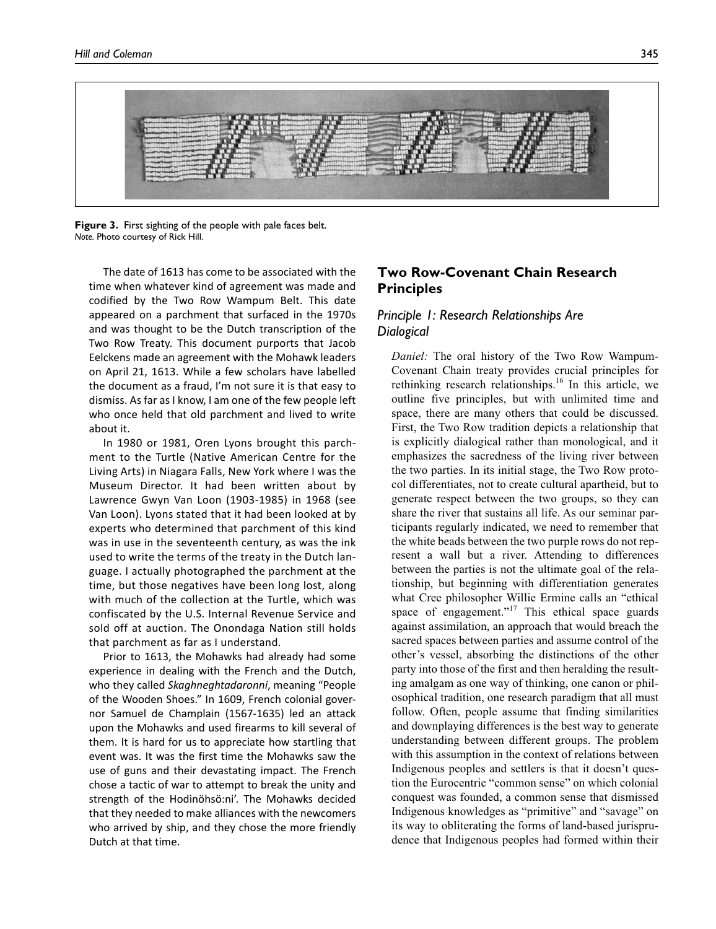

**Figure 3.** First sighting of the people with pale faces belt. *Note.* Photo courtesy of Rick Hill.

The date of 1613 has come to be associated with the time when whatever kind of agreement was made and codified by the Two Row Wampum Belt. This date appeared on a parchment that surfaced in the 1970s and was thought to be the Dutch transcription of the Two Row Treaty. This document purports that Jacob Eelckens made an agreement with the Mohawk leaders on April 21, 1613. While a few scholars have labelled the document as a fraud, I'm not sure it is that easy to dismiss. As far as I know, I am one of the few people left who once held that old parchment and lived to write about it.

 time, but those negatives have been long lost, along In 1980 or 1981, Oren Lyons brought this parchment to the Turtle (Native American Centre for the Living Arts) in Niagara Falls, New York where I was the Museum Director. It had been written about by Lawrence Gwyn Van Loon (1903-1985) in 1968 (see Van Loon). Lyons stated that it had been looked at by experts who determined that parchment of this kind was in use in the seventeenth century, as was the ink used to write the terms of the treaty in the Dutch language. I actually photographed the parchment at the with much of the collection at the Turtle, which was confiscated by the U.S. Internal Revenue Service and sold off at auction. The Onondaga Nation still holds that parchment as far as I understand.

Prior to 1613, the Mohawks had already had some experience in dealing with the French and the Dutch, who they called *Skaghneghtadaronni*, meaning "People of the Wooden Shoes." In 1609, French colonial governor Samuel de Champlain (1567-1635) led an attack upon the Mohawks and used firearms to kill several of them. It is hard for us to appreciate how startling that event was. It was the first time the Mohawks saw the use of guns and their devastating impact. The French chose a tactic of war to attempt to break the unity and strength of the Hodinöhsö:ni'. The Mohawks decided that they needed to make alliances with the newcomers who arrived by ship, and they chose the more friendly Dutch at that time.

### **Two Row-Covenant Chain Research Principles**

### *Principle 1: Research Relationships Are Dialogical*

*Daniel:* The oral history of the Two Row Wampum-Covenant Chain treaty provides crucial principles for rethinking research [relationships.](https://relationships.16)<sup>16</sup> In this article, we outline five principles, but with unlimited time and space, there are many others that could be discussed. First, the Two Row tradition depicts a relationship that is explicitly dialogical rather than monological, and it emphasizes the sacredness of the living river between the two parties. In its initial stage, the Two Row protocol differentiates, not to create cultural apartheid, but to generate respect between the two groups, so they can share the river that sustains all life. As our seminar participants regularly indicated, we need to remember that the white beads between the two purple rows do not represent a wall but a river. Attending to differences between the parties is not the ultimate goal of the relationship, but beginning with differentiation generates what Cree philosopher Willie Ermine calls an "ethical space of engagement."<sup>17</sup> This ethical space guards against assimilation, an approach that would breach the sacred spaces between parties and assume control of the other's vessel, absorbing the distinctions of the other party into those of the first and then heralding the resulting amalgam as one way of thinking, one canon or philosophical tradition, one research paradigm that all must follow. Often, people assume that finding similarities and downplaying differences is the best way to generate understanding between different groups. The problem with this assumption in the context of relations between Indigenous peoples and settlers is that it doesn't question the Eurocentric "common sense" on which colonial conquest was founded, a common sense that dismissed Indigenous knowledges as "primitive" and "savage" on its way to obliterating the forms of land-based jurisprudence that Indigenous peoples had formed within their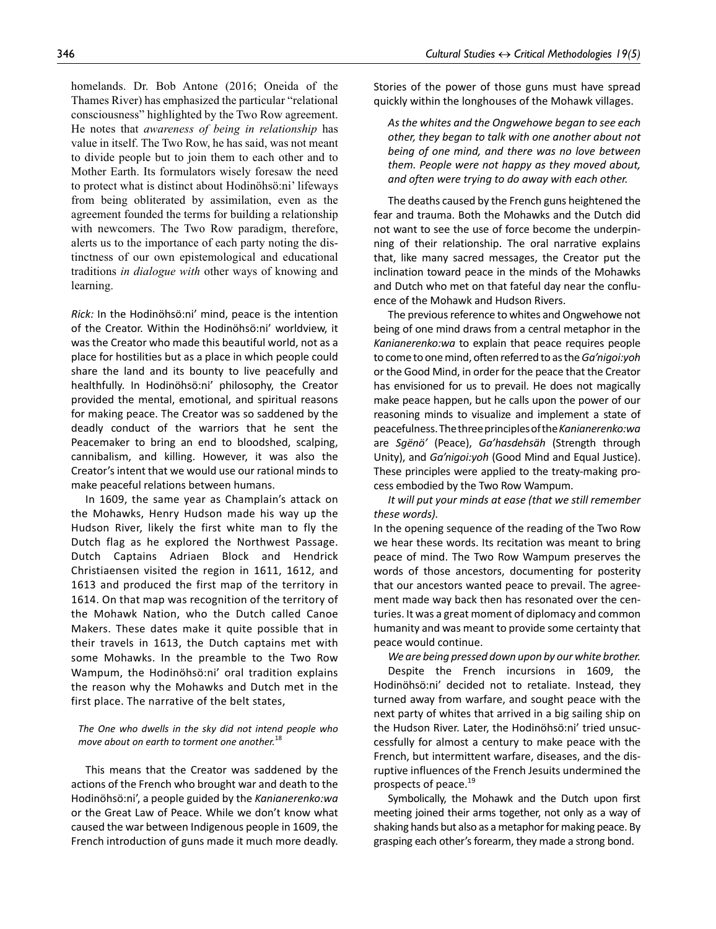homelands. Dr. Bob Antone (2016; Oneida of the Thames River) has emphasized the particular "relational consciousness" highlighted by the Two Row agreement. He notes that *awareness of being in relationship* has value in itself. The Two Row, he has said, was not meant to divide people but to join them to each other and to Mother Earth. Its formulators wisely foresaw the need to protect what is distinct about Hodinöhsö:ni' lifeways from being obliterated by assimilation, even as the agreement founded the terms for building a relationship with newcomers. The Two Row paradigm, therefore, alerts us to the importance of each party noting the distinctness of our own epistemological and educational traditions *in dialogue with* other ways of knowing and learning.

*Rick:* In the Hodinöhsö:ni' mind, peace is the intention of the Creator. Within the Hodinöhsö:ni' worldview, it was the Creator who made this beautiful world, not as a place for hostilities but as a place in which people could share the land and its bounty to live peacefully and healthfully. In Hodinöhsö:ni' philosophy, the Creator provided the mental, emotional, and spiritual reasons for making peace. The Creator was so saddened by the deadly conduct of the warriors that he sent the Peacemaker to bring an end to bloodshed, scalping, cannibalism, and killing. However, it was also the Creator's intent that we would use our rational minds to make peaceful relations between humans.

 Hudson River, likely the first white man to fly the In 1609, the same year as Champlain's attack on the Mohawks, Henry Hudson made his way up the Dutch flag as he explored the Northwest Passage. Dutch Captains Adriaen Block and Hendrick Christiaensen visited the region in 1611, 1612, and 1613 and produced the first map of the territory in 1614. On that map was recognition of the territory of the Mohawk Nation, who the Dutch called Canoe Makers. These dates make it quite possible that in their travels in 1613, the Dutch captains met with some Mohawks. In the preamble to the Two Row Wampum, the Hodinöhsö:ni' oral tradition explains the reason why the Mohawks and Dutch met in the first place. The narrative of the belt states,

### *The One who dwells in the sky did not intend people who move about on earth to torment one [another.](https://another.18)*<sup>18</sup>

This means that the Creator was saddened by the actions of the French who brought war and death to the Hodinöhsö:ni', a people guided by the *Kanianerenko:wa*  or the Great Law of Peace. While we don't know what caused the war between Indigenous people in 1609, the French introduction of guns made it much more deadly. Stories of the power of those guns must have spread quickly within the longhouses of the Mohawk villages.

*As the whites and the Ongwehowe began to see each other, they began to talk with one another about not being of one mind, and there was no love between them. People were not happy as they moved about, and often were trying to do away with each other.* 

The deaths caused by the French guns heightened the fear and trauma. Both the Mohawks and the Dutch did not want to see the use of force become the underpinning of their relationship. The oral narrative explains that, like many sacred messages, the Creator put the inclination toward peace in the minds of the Mohawks and Dutch who met on that fateful day near the confluence of the Mohawk and Hudson Rivers.

The previous reference to whites and Ongwehowe not being of one mind draws from a central metaphor in the *Kanianerenko:wa* to explain that peace requires people to come to one mind, often referred to as the *Ga'nigoi:yoh*  or the Good Mind, in order for the peace that the Creator has envisioned for us to prevail. He does not magically make peace happen, but he calls upon the power of our reasoning minds to visualize and implement a state of peacefulness. The three principles of the *Kanianerenko:wa*  are *Sgënö'* (Peace), *Ga'hasdehsäh* (Strength through Unity), and *Ga'nigoi:yoh* (Good Mind and Equal Justice). These principles were applied to the treaty-making process embodied by the Two Row Wampum.

*It will put your minds at ease (that we still remember these words).* 

In the opening sequence of the reading of the Two Row we hear these words. Its recitation was meant to bring peace of mind. The Two Row Wampum preserves the words of those ancestors, documenting for posterity that our ancestors wanted peace to prevail. The agreement made way back then has resonated over the centuries. It was a great moment of diplomacy and common humanity and was meant to provide some certainty that peace would continue.

*We are being pressed down upon by our white brother.* 

Despite the French incursions in 1609, the Hodinöhsö:ni' decided not to retaliate. Instead, they turned away from warfare, and sought peace with the next party of whites that arrived in a big sailing ship on the Hudson River. Later, the Hodinöhsö:ni' tried unsuccessfully for almost a century to make peace with the French, but intermittent warfare, diseases, and the disruptive influences of the French Jesuits undermined the prospects of peace.<sup>19</sup>

Symbolically, the Mohawk and the Dutch upon first meeting joined their arms together, not only as a way of shaking hands but also as a metaphor for making peace. By grasping each other's forearm, they made a strong bond.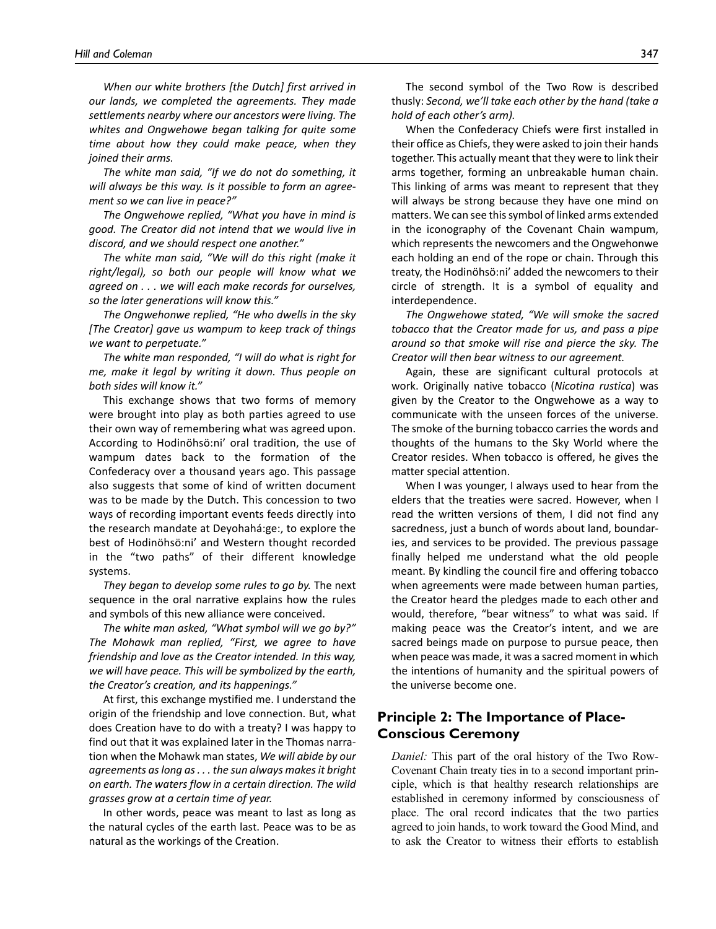*When our white brothers [the Dutch] first arrived in our lands, we completed the agreements. They made settlements nearby where our ancestors were living. The whites and Ongwehowe began talking for quite some time about how they could make peace, when they joined their arms.* 

*The white man said, "If we do not do something, it will always be this way. Is it possible to form an agreement so we can live in peace?"* 

*The Ongwehowe replied, "What you have in mind is good. The Creator did not intend that we would live in discord, and we should respect one another."* 

*The white man said, "We will do this right (make it right/legal), so both our people will know what we agreed on . . . we will each make records for ourselves, so the later generations will know this."* 

*The Ongwehonwe replied, "He who dwells in the sky [The Creator] gave us wampum to keep track of things we want to perpetuate."* 

*The white man responded, "I will do what is right for me, make it legal by writing it down. Thus people on both sides will know it."* 

This exchange shows that two forms of memory were brought into play as both parties agreed to use their own way of remembering what was agreed upon. According to Hodinöhsö:ni' oral tradition, the use of wampum dates back to the formation of the Confederacy over a thousand years ago. This passage also suggests that some of kind of written document was to be made by the Dutch. This concession to two ways of recording important events feeds directly into the research mandate at Deyohahá:ge:, to explore the best of Hodinöhsö:ni' and Western thought recorded in the "two paths" of their different knowledge systems.

*They began to develop some rules to go by.* The next sequence in the oral narrative explains how the rules and symbols of this new alliance were conceived.

*The white man asked, "What symbol will we go by?" The Mohawk man replied, "First, we agree to have friendship and love as the Creator intended. In this way, we will have peace. This will be symbolized by the earth, the Creator's creation, and its happenings."* 

At first, this exchange mystified me. I understand the origin of the friendship and love connection. But, what does Creation have to do with a treaty? I was happy to find out that it was explained later in the Thomas narration when the Mohawk man states, *We will abide by our agreements as long as . . . the sun always makes it bright on earth. The waters flow in a certain direction. The wild grasses grow at a certain time of year.* 

In other words, peace was meant to last as long as the natural cycles of the earth last. Peace was to be as natural as the workings of the Creation.

The second symbol of the Two Row is described thusly: *Second, we'll take each other by the hand (take a hold of each other's arm).* 

When the Confederacy Chiefs were first installed in their office as Chiefs, they were asked to join their hands together. This actually meant that they were to link their arms together, forming an unbreakable human chain. This linking of arms was meant to represent that they will always be strong because they have one mind on matters. We can see this symbol of linked arms extended in the iconography of the Covenant Chain wampum, which represents the newcomers and the Ongwehonwe each holding an end of the rope or chain. Through this treaty, the Hodinöhsö:ni' added the newcomers to their circle of strength. It is a symbol of equality and interdependence.

*The Ongwehowe stated, "We will smoke the sacred tobacco that the Creator made for us, and pass a pipe around so that smoke will rise and pierce the sky. The Creator will then bear witness to our agreement.* 

Again, these are significant cultural protocols at work. Originally native tobacco (*Nicotina rustica*) was given by the Creator to the Ongwehowe as a way to communicate with the unseen forces of the universe. The smoke of the burning tobacco carries the words and thoughts of the humans to the Sky World where the Creator resides. When tobacco is offered, he gives the matter special attention.

When I was younger, I always used to hear from the elders that the treaties were sacred. However, when I read the written versions of them, I did not find any sacredness, just a bunch of words about land, boundaries, and services to be provided. The previous passage finally helped me understand what the old people meant. By kindling the council fire and offering tobacco when agreements were made between human parties, the Creator heard the pledges made to each other and would, therefore, "bear witness" to what was said. If making peace was the Creator's intent, and we are sacred beings made on purpose to pursue peace, then when peace was made, it was a sacred moment in which the intentions of humanity and the spiritual powers of the universe become one.

### **Principle 2: The Importance of Place-Conscious Ceremony**

*Daniel:* This part of the oral history of the Two Row-Covenant Chain treaty ties in to a second important principle, which is that healthy research relationships are established in ceremony informed by consciousness of place. The oral record indicates that the two parties agreed to join hands, to work toward the Good Mind, and to ask the Creator to witness their efforts to establish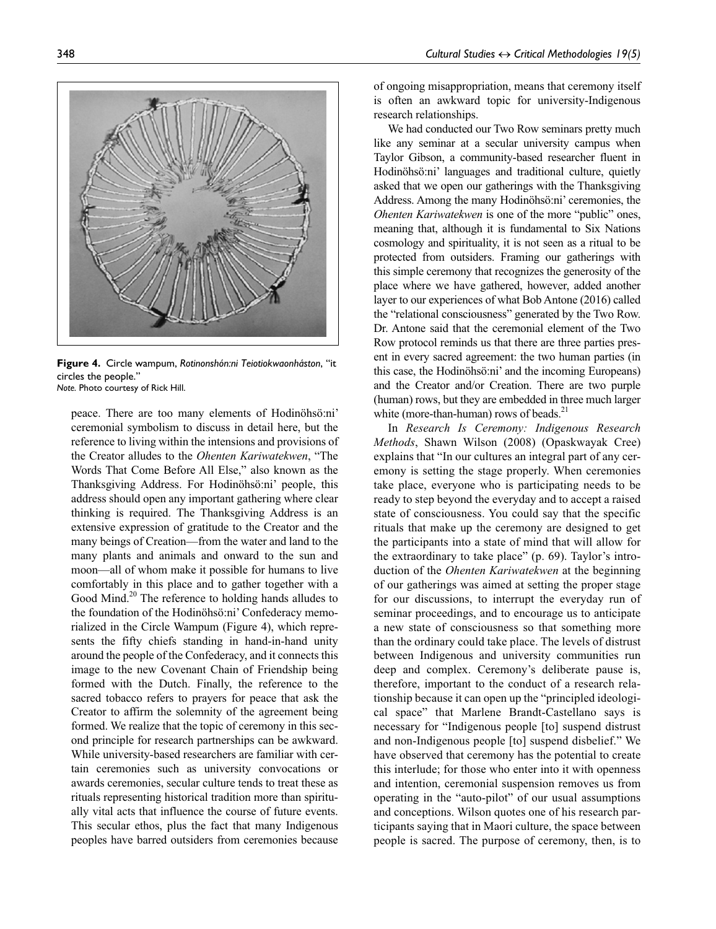

**Figure 4.** Circle wampum, *Rotinonshón:ni Teiotiokwaonháston*, "it circles the people." *Note.* Photo courtesy of Rick Hill.

peace. There are too many elements of Hodinöhsö:ni' ceremonial symbolism to discuss in detail here, but the reference to living within the intensions and provisions of the Creator alludes to the *Ohenten Kariwatekwen*, "The Words That Come Before All Else," also known as the Thanksgiving Address. For Hodinöhsö:ni' people, this address should open any important gathering where clear thinking is required. The Thanksgiving Address is an extensive expression of gratitude to the Creator and the many beings of Creation—from the water and land to the many plants and animals and onward to the sun and moon—all of whom make it possible for humans to live comfortably in this place and to gather together with a Good Mind.<sup>20</sup> The reference to holding hands alludes to the foundation of the Hodinöhsö:ni' Confederacy memorialized in the Circle Wampum (Figure 4), which represents the fifty chiefs standing in hand-in-hand unity around the people of the Confederacy, and it connects this image to the new Covenant Chain of Friendship being formed with the Dutch. Finally, the reference to the sacred tobacco refers to prayers for peace that ask the Creator to affirm the solemnity of the agreement being formed. We realize that the topic of ceremony in this second principle for research partnerships can be awkward. While university-based researchers are familiar with certain ceremonies such as university convocations or awards ceremonies, secular culture tends to treat these as rituals representing historical tradition more than spiritually vital acts that influence the course of future events. This secular ethos, plus the fact that many Indigenous peoples have barred outsiders from ceremonies because of ongoing misappropriation, means that ceremony itself is often an awkward topic for university-Indigenous research relationships.

We had conducted our Two Row seminars pretty much like any seminar at a secular university campus when Taylor Gibson, a community-based researcher fluent in Hodinöhsö:ni' languages and traditional culture, quietly asked that we open our gatherings with the Thanksgiving Address. Among the many Hodinöhsö:ni' ceremonies, the *Ohenten Kariwatekwen* is one of the more "public" ones, meaning that, although it is fundamental to Six Nations cosmology and spirituality, it is not seen as a ritual to be protected from outsiders. Framing our gatherings with this simple ceremony that recognizes the generosity of the place where we have gathered, however, added another layer to our experiences of what Bob Antone (2016) called the "relational consciousness" generated by the Two Row. Dr. Antone said that the ceremonial element of the Two Row protocol reminds us that there are three parties present in every sacred agreement: the two human parties (in this case, the Hodinöhsö:ni' and the incoming Europeans) and the Creator and/or Creation. There are two purple (human) rows, but they are embedded in three much larger white (more-than-human) rows of beads. $21$ 

In *Research Is Ceremony: Indigenous Research Methods*, Shawn Wilson (2008) (Opaskwayak Cree) explains that "In our cultures an integral part of any ceremony is setting the stage properly. When ceremonies take place, everyone who is participating needs to be ready to step beyond the everyday and to accept a raised state of consciousness. You could say that the specific rituals that make up the ceremony are designed to get the participants into a state of mind that will allow for the extraordinary to take place" (p. 69). Taylor's introduction of the *Ohenten Kariwatekwen* at the beginning of our gatherings was aimed at setting the proper stage for our discussions, to interrupt the everyday run of seminar proceedings, and to encourage us to anticipate a new state of consciousness so that something more than the ordinary could take place. The levels of distrust between Indigenous and university communities run deep and complex. Ceremony's deliberate pause is, therefore, important to the conduct of a research relationship because it can open up the "principled ideological space" that Marlene Brandt-Castellano says is necessary for "Indigenous people [to] suspend distrust and non-Indigenous people [to] suspend disbelief." We have observed that ceremony has the potential to create this interlude; for those who enter into it with openness and intention, ceremonial suspension removes us from operating in the "auto-pilot" of our usual assumptions and conceptions. Wilson quotes one of his research participants saying that in Maori culture, the space between people is sacred. The purpose of ceremony, then, is to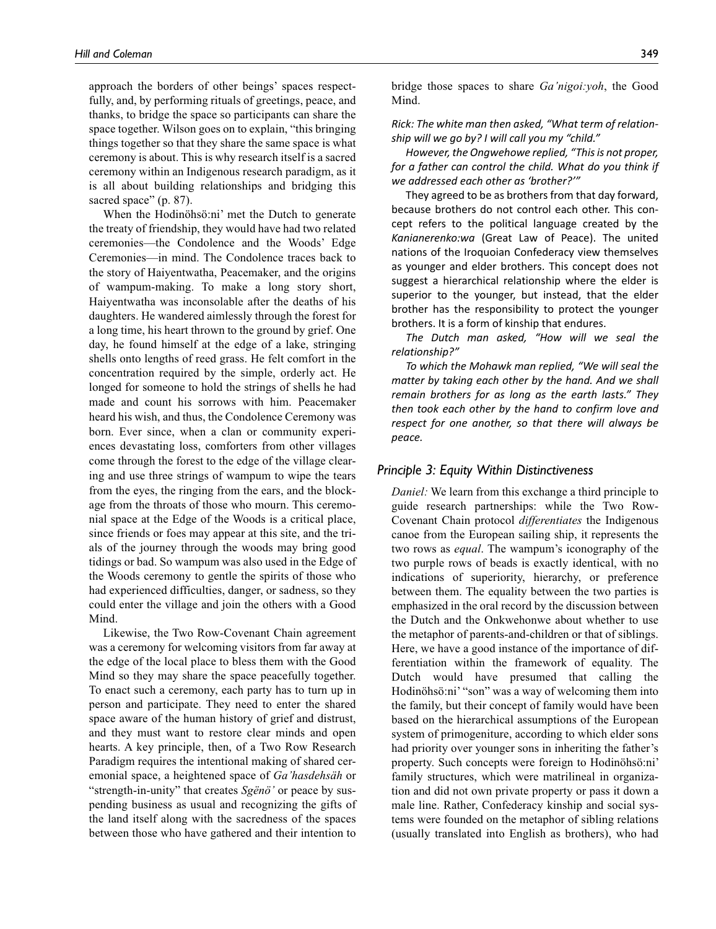approach the borders of other beings' spaces respectfully, and, by performing rituals of greetings, peace, and thanks, to bridge the space so participants can share the space together. Wilson goes on to explain, "this bringing things together so that they share the same space is what ceremony is about. This is why research itself is a sacred ceremony within an Indigenous research paradigm, as it is all about building relationships and bridging this sacred space" (p. 87).

When the Hodinöhsö:ni' met the Dutch to generate the treaty of friendship, they would have had two related ceremonies—the Condolence and the Woods' Edge Ceremonies—in mind. The Condolence traces back to the story of Haiyentwatha, Peacemaker, and the origins of wampum-making. To make a long story short, Haiyentwatha was inconsolable after the deaths of his daughters. He wandered aimlessly through the forest for a long time, his heart thrown to the ground by grief. One day, he found himself at the edge of a lake, stringing shells onto lengths of reed grass. He felt comfort in the concentration required by the simple, orderly act. He longed for someone to hold the strings of shells he had made and count his sorrows with him. Peacemaker heard his wish, and thus, the Condolence Ceremony was born. Ever since, when a clan or community experiences devastating loss, comforters from other villages come through the forest to the edge of the village clearing and use three strings of wampum to wipe the tears from the eyes, the ringing from the ears, and the blockage from the throats of those who mourn. This ceremonial space at the Edge of the Woods is a critical place, since friends or foes may appear at this site, and the trials of the journey through the woods may bring good tidings or bad. So wampum was also used in the Edge of the Woods ceremony to gentle the spirits of those who had experienced difficulties, danger, or sadness, so they could enter the village and join the others with a Good Mind.

Likewise, the Two Row-Covenant Chain agreement was a ceremony for welcoming visitors from far away at the edge of the local place to bless them with the Good Mind so they may share the space peacefully together. To enact such a ceremony, each party has to turn up in person and participate. They need to enter the shared space aware of the human history of grief and distrust, and they must want to restore clear minds and open hearts. A key principle, then, of a Two Row Research Paradigm requires the intentional making of shared ceremonial space, a heightened space of *Ga'hasdehsäh* or "strength-in-unity" that creates *Sgënö'* or peace by suspending business as usual and recognizing the gifts of the land itself along with the sacredness of the spaces between those who have gathered and their intention to

bridge those spaces to share *Ga'nigoi:yoh*, the Good Mind.

*Rick: The white man then asked, "What term of relationship will we go by? I will call you my "child."* 

*However, the Ongwehowe replied, "This is not proper, for a father can control the child. What do you think if we addressed each other as 'brother?'"* 

They agreed to be as brothers from that day forward, because brothers do not control each other. This concept refers to the political language created by the *Kanianerenko:wa* (Great Law of Peace). The united nations of the Iroquoian Confederacy view themselves as younger and elder brothers. This concept does not suggest a hierarchical relationship where the elder is superior to the younger, but instead, that the elder brother has the responsibility to protect the younger brothers. It is a form of kinship that endures.

*The Dutch man asked, "How will we seal the relationship?"* 

*To which the Mohawk man replied, "We will seal the matter by taking each other by the hand. And we shall remain brothers for as long as the earth lasts." They then took each other by the hand to confirm love and respect for one another, so that there will always be peace.* 

### *Principle 3: Equity Within Distinctiveness*

*Daniel:* We learn from this exchange a third principle to guide research partnerships: while the Two Row-Covenant Chain protocol *differentiates* the Indigenous canoe from the European sailing ship, it represents the two rows as *equal*. The wampum's iconography of the two purple rows of beads is exactly identical, with no indications of superiority, hierarchy, or preference between them. The equality between the two parties is emphasized in the oral record by the discussion between the Dutch and the Onkwehonwe about whether to use the metaphor of parents-and-children or that of siblings. Here, we have a good instance of the importance of differentiation within the framework of equality. The Dutch would have presumed that calling the Hodinöhsö:ni' "son" was a way of welcoming them into the family, but their concept of family would have been based on the hierarchical assumptions of the European system of primogeniture, according to which elder sons had priority over younger sons in inheriting the father's property. Such concepts were foreign to Hodinöhsö:ni' family structures, which were matrilineal in organization and did not own private property or pass it down a male line. Rather, Confederacy kinship and social systems were founded on the metaphor of sibling relations (usually translated into English as brothers), who had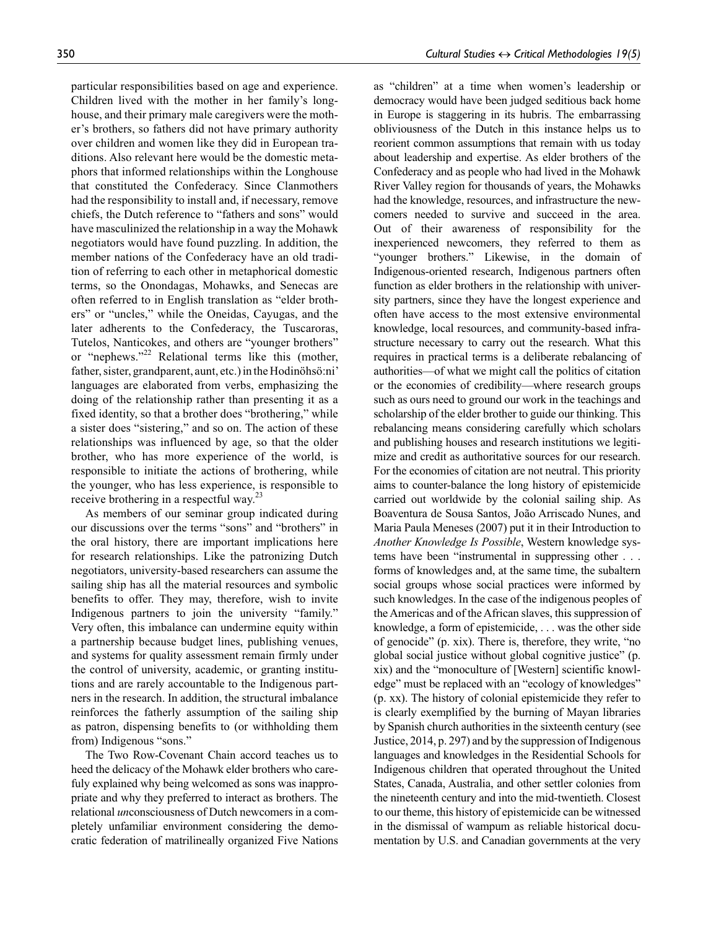particular responsibilities based on age and experience. Children lived with the mother in her family's longhouse, and their primary male caregivers were the mother's brothers, so fathers did not have primary authority over children and women like they did in European traditions. Also relevant here would be the domestic metaphors that informed relationships within the Longhouse that constituted the Confederacy. Since Clanmothers had the responsibility to install and, if necessary, remove chiefs, the Dutch reference to "fathers and sons" would have masculinized the relationship in a way the Mohawk negotiators would have found puzzling. In addition, the member nations of the Confederacy have an old tradition of referring to each other in metaphorical domestic terms, so the Onondagas, Mohawks, and Senecas are often referred to in English translation as "elder brothers" or "uncles," while the Oneidas, Cayugas, and the later adherents to the Confederacy, the Tuscaroras, Tutelos, Nanticokes, and others are "younger brothers" or "nephews."<sup>22</sup> Relational terms like this (mother, father, sister, grandparent, aunt, etc.) in the Hodinöhsö:ni' languages are elaborated from verbs, emphasizing the doing of the relationship rather than presenting it as a fixed identity, so that a brother does "brothering," while a sister does "sistering," and so on. The action of these relationships was influenced by age, so that the older brother, who has more experience of the world, is responsible to initiate the actions of brothering, while the younger, who has less experience, is responsible to receive brothering in a respectful way. $23$ 

As members of our seminar group indicated during our discussions over the terms "sons" and "brothers" in the oral history, there are important implications here for research relationships. Like the patronizing Dutch negotiators, university-based researchers can assume the sailing ship has all the material resources and symbolic benefits to offer. They may, therefore, wish to invite Indigenous partners to join the university "family." Very often, this imbalance can undermine equity within a partnership because budget lines, publishing venues, and systems for quality assessment remain firmly under the control of university, academic, or granting institutions and are rarely accountable to the Indigenous partners in the research. In addition, the structural imbalance reinforces the fatherly assumption of the sailing ship as patron, dispensing benefits to (or withholding them from) Indigenous "sons."

The Two Row-Covenant Chain accord teaches us to heed the delicacy of the Mohawk elder brothers who carefuly explained why being welcomed as sons was inappropriate and why they preferred to interact as brothers. The relational *un*consciousness of Dutch newcomers in a completely unfamiliar environment considering the democratic federation of matrilineally organized Five Nations

as "children" at a time when women's leadership or democracy would have been judged seditious back home in Europe is staggering in its hubris. The embarrassing obliviousness of the Dutch in this instance helps us to reorient common assumptions that remain with us today about leadership and expertise. As elder brothers of the Confederacy and as people who had lived in the Mohawk River Valley region for thousands of years, the Mohawks had the knowledge, resources, and infrastructure the newcomers needed to survive and succeed in the area. Out of their awareness of responsibility for the inexperienced newcomers, they referred to them as "younger brothers." Likewise, in the domain of Indigenous-oriented research, Indigenous partners often function as elder brothers in the relationship with university partners, since they have the longest experience and often have access to the most extensive environmental knowledge, local resources, and community-based infrastructure necessary to carry out the research. What this requires in practical terms is a deliberate rebalancing of authorities—of what we might call the politics of citation or the economies of credibility—where research groups such as ours need to ground our work in the teachings and scholarship of the elder brother to guide our thinking. This rebalancing means considering carefully which scholars and publishing houses and research institutions we legitimize and credit as authoritative sources for our research. For the economies of citation are not neutral. This priority aims to counter-balance the long history of epistemicide carried out worldwide by the colonial sailing ship. As Boaventura de Sousa Santos, João Arriscado Nunes, and Maria Paula Meneses (2007) put it in their Introduction to *Another Knowledge Is Possible*, Western knowledge systems have been "instrumental in suppressing other . . . forms of knowledges and, at the same time, the subaltern social groups whose social practices were informed by such knowledges. In the case of the indigenous peoples of the Americas and of the African slaves, this suppression of knowledge, a form of epistemicide, . . . was the other side of genocide" (p. xix). There is, therefore, they write, "no global social justice without global cognitive justice" (p. xix) and the "monoculture of [Western] scientific knowledge" must be replaced with an "ecology of knowledges" (p. xx). The history of colonial epistemicide they refer to is clearly exemplified by the burning of Mayan libraries by Spanish church authorities in the sixteenth century (see Justice, 2014, p. 297) and by the suppression of Indigenous languages and knowledges in the Residential Schools for Indigenous children that operated throughout the United States, Canada, Australia, and other settler colonies from the nineteenth century and into the mid-twentieth. Closest to our theme, this history of epistemicide can be witnessed in the dismissal of wampum as reliable historical documentation by U.S. and Canadian governments at the very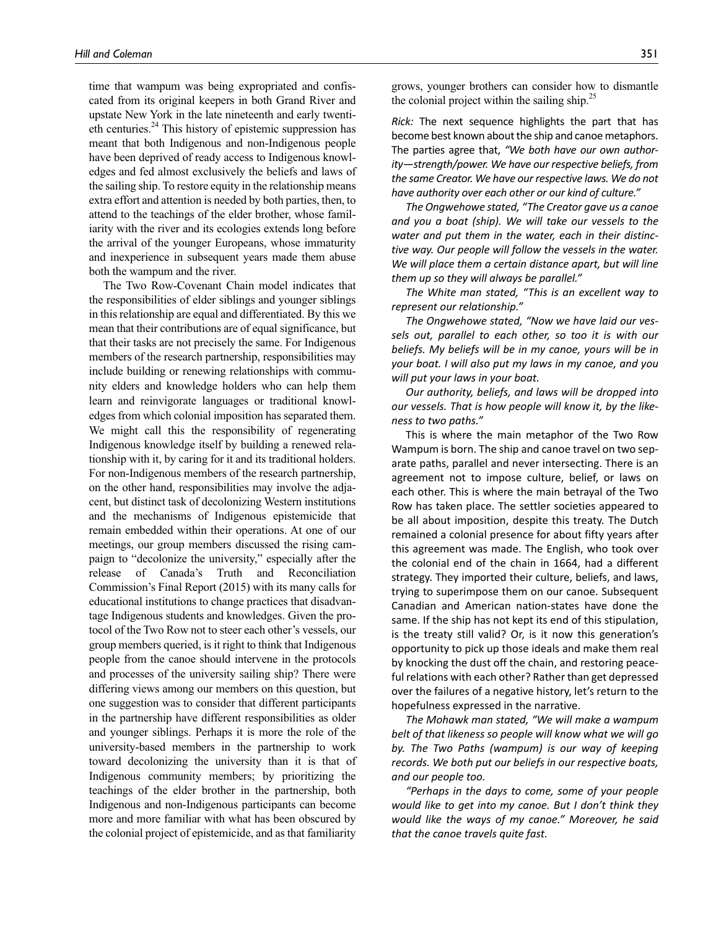time that wampum was being expropriated and confiscated from its original keepers in both Grand River and upstate New York in the late nineteenth and early twentieth centuries.<sup>24</sup> This history of epistemic suppression has meant that both Indigenous and non-Indigenous people have been deprived of ready access to Indigenous knowledges and fed almost exclusively the beliefs and laws of the sailing ship. To restore equity in the relationship means extra effort and attention is needed by both parties, then, to attend to the teachings of the elder brother, whose familiarity with the river and its ecologies extends long before the arrival of the younger Europeans, whose immaturity and inexperience in subsequent years made them abuse both the wampum and the river.

The Two Row-Covenant Chain model indicates that the responsibilities of elder siblings and younger siblings in this relationship are equal and differentiated. By this we mean that their contributions are of equal significance, but that their tasks are not precisely the same. For Indigenous members of the research partnership, responsibilities may include building or renewing relationships with community elders and knowledge holders who can help them learn and reinvigorate languages or traditional knowledges from which colonial imposition has separated them. We might call this the responsibility of regenerating Indigenous knowledge itself by building a renewed relationship with it, by caring for it and its traditional holders. For non-Indigenous members of the research partnership, on the other hand, responsibilities may involve the adjacent, but distinct task of decolonizing Western institutions and the mechanisms of Indigenous epistemicide that remain embedded within their operations. At one of our meetings, our group members discussed the rising campaign to "decolonize the university," especially after the release of Canada's Truth and Reconciliation Commission's Final Report (2015) with its many calls for educational institutions to change practices that disadvantage Indigenous students and knowledges. Given the protocol of the Two Row not to steer each other's vessels, our group members queried, is it right to think that Indigenous people from the canoe should intervene in the protocols and processes of the university sailing ship? There were differing views among our members on this question, but one suggestion was to consider that different participants in the partnership have different responsibilities as older and younger siblings. Perhaps it is more the role of the university-based members in the partnership to work toward decolonizing the university than it is that of Indigenous community members; by prioritizing the teachings of the elder brother in the partnership, both Indigenous and non-Indigenous participants can become more and more familiar with what has been obscured by the colonial project of epistemicide, and as that familiarity grows, younger brothers can consider how to dismantle the colonial project within the sailing ship.<sup>25</sup>

*Rick:* The next sequence highlights the part that has become best known about the ship and canoe metaphors. The parties agree that, *"We both have our own authority—strength/power. We have our respective beliefs, from the same Creator. We have our respective laws. We do not have authority over each other or our kind of culture."* 

*The Ongwehowe stated, "The Creator gave us a canoe and you a boat (ship). We will take our vessels to the water and put them in the water, each in their distinctive way. Our people will follow the vessels in the water. We will place them a certain distance apart, but will line them up so they will always be parallel."* 

*The White man stated, "This is an excellent way to represent our relationship."* 

*The Ongwehowe stated, "Now we have laid our vessels out, parallel to each other, so too it is with our beliefs. My beliefs will be in my canoe, yours will be in your boat. I will also put my laws in my canoe, and you will put your laws in your boat.* 

*Our authority, beliefs, and laws will be dropped into our vessels. That is how people will know it, by the likeness to two paths."* 

This is where the main metaphor of the Two Row Wampum is born. The ship and canoe travel on two separate paths, parallel and never intersecting. There is an agreement not to impose culture, belief, or laws on each other. This is where the main betrayal of the Two Row has taken place. The settler societies appeared to be all about imposition, despite this treaty. The Dutch remained a colonial presence for about fifty years after this agreement was made. The English, who took over the colonial end of the chain in 1664, had a different strategy. They imported their culture, beliefs, and laws, trying to superimpose them on our canoe. Subsequent Canadian and American nation-states have done the same. If the ship has not kept its end of this stipulation, is the treaty still valid? Or, is it now this generation's opportunity to pick up those ideals and make them real by knocking the dust off the chain, and restoring peaceful relations with each other? Rather than get depressed over the failures of a negative history, let's return to the hopefulness expressed in the narrative.

*The Mohawk man stated, "We will make a wampum belt of that likeness so people will know what we will go by. The Two Paths (wampum) is our way of keeping records. We both put our beliefs in our respective boats, and our people too.* 

*"Perhaps in the days to come, some of your people would like to get into my canoe. But I don't think they would like the ways of my canoe." Moreover, he said that the canoe travels quite fast.*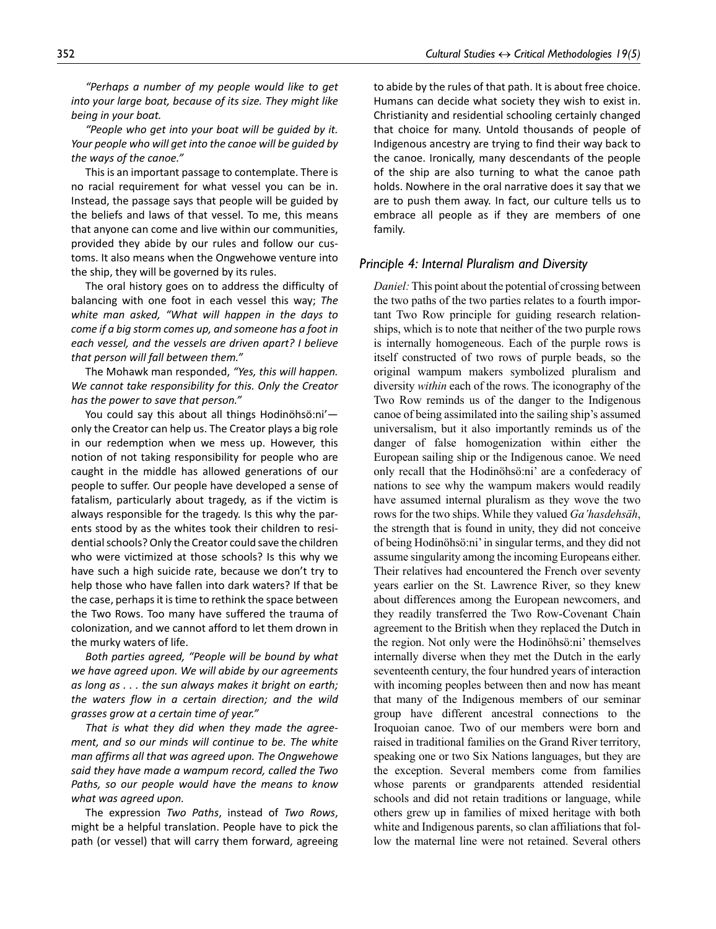*"Perhaps a number of my people would like to get into your large boat, because of its size. They might like being in your boat.* 

*"People who get into your boat will be guided by it. Your people who will get into the canoe will be guided by the ways of the canoe."* 

This is an important passage to contemplate. There is no racial requirement for what vessel you can be in. Instead, the passage says that people will be guided by the beliefs and laws of that vessel. To me, this means that anyone can come and live within our communities, provided they abide by our rules and follow our customs. It also means when the Ongwehowe venture into the ship, they will be governed by its rules.

The oral history goes on to address the difficulty of balancing with one foot in each vessel this way; *The white man asked, "What will happen in the days to come if a big storm comes up, and someone has a foot in each vessel, and the vessels are driven apart? I believe that person will fall between them."* 

The Mohawk man responded, *"Yes, this will happen. We cannot take responsibility for this. Only the Creator has the power to save that person."* 

You could say this about all things Hodinöhsö:ni' only the Creator can help us. The Creator plays a big role in our redemption when we mess up. However, this notion of not taking responsibility for people who are caught in the middle has allowed generations of our people to suffer. Our people have developed a sense of fatalism, particularly about tragedy, as if the victim is always responsible for the tragedy. Is this why the parents stood by as the whites took their children to residential schools? Only the Creator could save the children who were victimized at those schools? Is this why we have such a high suicide rate, because we don't try to help those who have fallen into dark waters? If that be the case, perhaps it is time to rethink the space between the Two Rows. Too many have suffered the trauma of colonization, and we cannot afford to let them drown in the murky waters of life.

*Both parties agreed, "People will be bound by what we have agreed upon. We will abide by our agreements as long as . . . the sun always makes it bright on earth; the waters flow in a certain direction; and the wild grasses grow at a certain time of year."* 

*That is what they did when they made the agreement, and so our minds will continue to be. The white man affirms all that was agreed upon. The Ongwehowe said they have made a wampum record, called the Two Paths, so our people would have the means to know what was agreed upon.* 

The expression *Two Paths*, instead of *Two Rows*, might be a helpful translation. People have to pick the path (or vessel) that will carry them forward, agreeing

to abide by the rules of that path. It is about free choice. Humans can decide what society they wish to exist in. Christianity and residential schooling certainly changed that choice for many. Untold thousands of people of Indigenous ancestry are trying to find their way back to the canoe. Ironically, many descendants of the people of the ship are also turning to what the canoe path holds. Nowhere in the oral narrative does it say that we are to push them away. In fact, our culture tells us to embrace all people as if they are members of one family.

### *Principle 4: Internal Pluralism and Diversity*

*Daniel:* This point about the potential of crossing between the two paths of the two parties relates to a fourth important Two Row principle for guiding research relationships, which is to note that neither of the two purple rows is internally homogeneous. Each of the purple rows is itself constructed of two rows of purple beads, so the original wampum makers symbolized pluralism and diversity *within* each of the rows. The iconography of the Two Row reminds us of the danger to the Indigenous canoe of being assimilated into the sailing ship's assumed universalism, but it also importantly reminds us of the danger of false homogenization within either the European sailing ship or the Indigenous canoe. We need only recall that the Hodinöhsö:ni' are a confederacy of nations to see why the wampum makers would readily have assumed internal pluralism as they wove the two rows for the two ships. While they valued *Ga'hasdehsäh*, the strength that is found in unity, they did not conceive of being Hodinöhsö:ni' in singular terms, and they did not assume singularity among the incoming Europeans either. Their relatives had encountered the French over seventy years earlier on the St. Lawrence River, so they knew about differences among the European newcomers, and they readily transferred the Two Row-Covenant Chain agreement to the British when they replaced the Dutch in the region. Not only were the Hodinöhsö:ni' themselves internally diverse when they met the Dutch in the early seventeenth century, the four hundred years of interaction with incoming peoples between then and now has meant that many of the Indigenous members of our seminar group have different ancestral connections to the Iroquoian canoe. Two of our members were born and raised in traditional families on the Grand River territory, speaking one or two Six Nations languages, but they are the exception. Several members come from families whose parents or grandparents attended residential schools and did not retain traditions or language, while others grew up in families of mixed heritage with both white and Indigenous parents, so clan affiliations that follow the maternal line were not retained. Several others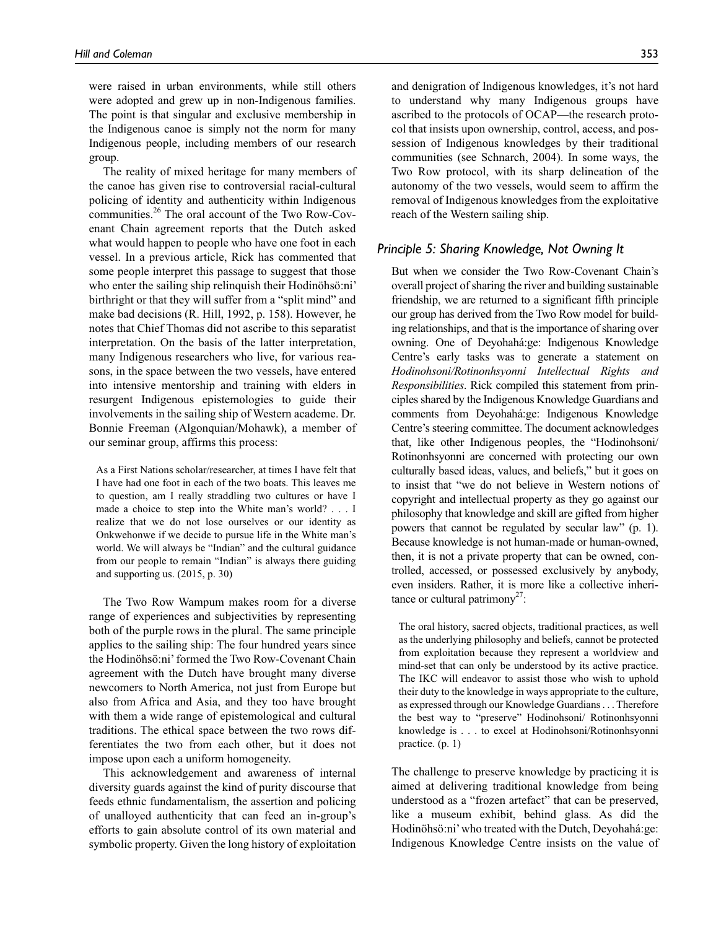were raised in urban environments, while still others were adopted and grew up in non-Indigenous families. The point is that singular and exclusive membership in the Indigenous canoe is simply not the norm for many Indigenous people, including members of our research group.

The reality of mixed heritage for many members of the canoe has given rise to controversial racial-cultural policing of identity and authenticity within Indigenous [communities.26](https://communities.26) The oral account of the Two Row-Covenant Chain agreement reports that the Dutch asked what would happen to people who have one foot in each vessel. In a previous article, Rick has commented that some people interpret this passage to suggest that those who enter the sailing ship relinquish their Hodinöhsö:ni' birthright or that they will suffer from a "split mind" and make bad decisions (R. Hill, 1992, p. 158). However, he notes that Chief Thomas did not ascribe to this separatist interpretation. On the basis of the latter interpretation, many Indigenous researchers who live, for various reasons, in the space between the two vessels, have entered into intensive mentorship and training with elders in resurgent Indigenous epistemologies to guide their involvements in the sailing ship of Western academe. Dr. Bonnie Freeman (Algonquian/Mohawk), a member of our seminar group, affirms this process:

As a First Nations scholar/researcher, at times I have felt that I have had one foot in each of the two boats. This leaves me to question, am I really straddling two cultures or have I made a choice to step into the White man's world? . . . I realize that we do not lose ourselves or our identity as Onkwehonwe if we decide to pursue life in the White man's world. We will always be "Indian" and the cultural guidance from our people to remain "Indian" is always there guiding and supporting us. (2015, p. 30)

The Two Row Wampum makes room for a diverse range of experiences and subjectivities by representing both of the purple rows in the plural. The same principle applies to the sailing ship: The four hundred years since the Hodinöhsö:ni' formed the Two Row-Covenant Chain agreement with the Dutch have brought many diverse newcomers to North America, not just from Europe but also from Africa and Asia, and they too have brought with them a wide range of epistemological and cultural traditions. The ethical space between the two rows differentiates the two from each other, but it does not impose upon each a uniform homogeneity.

This acknowledgement and awareness of internal diversity guards against the kind of purity discourse that feeds ethnic fundamentalism, the assertion and policing of unalloyed authenticity that can feed an in-group's efforts to gain absolute control of its own material and symbolic property. Given the long history of exploitation

and denigration of Indigenous knowledges, it's not hard to understand why many Indigenous groups have ascribed to the protocols of OCAP—the research protocol that insists upon ownership, control, access, and possession of Indigenous knowledges by their traditional communities (see Schnarch, 2004). In some ways, the Two Row protocol, with its sharp delineation of the autonomy of the two vessels, would seem to affirm the removal of Indigenous knowledges from the exploitative reach of the Western sailing ship.

### *Principle 5: Sharing Knowledge, Not Owning It*

But when we consider the Two Row-Covenant Chain's overall project of sharing the river and building sustainable friendship, we are returned to a significant fifth principle our group has derived from the Two Row model for building relationships, and that is the importance of sharing over owning. One of Deyohahá:ge: Indigenous Knowledge Centre's early tasks was to generate a statement on *Hodinohsoni/Rotinonhsyonni Intellectual Rights and Responsibilities*. Rick compiled this statement from principles shared by the Indigenous Knowledge Guardians and comments from Deyohahá:ge: Indigenous Knowledge Centre's steering committee. The document acknowledges that, like other Indigenous peoples, the "Hodinohsoni/ Rotinonhsyonni are concerned with protecting our own culturally based ideas, values, and beliefs," but it goes on to insist that "we do not believe in Western notions of copyright and intellectual property as they go against our philosophy that knowledge and skill are gifted from higher powers that cannot be regulated by secular law" (p. 1). Because knowledge is not human-made or human-owned, then, it is not a private property that can be owned, controlled, accessed, or possessed exclusively by anybody, even insiders. Rather, it is more like a collective inheritance or cultural patrimony<sup>27</sup>:

The oral history, sacred objects, traditional practices, as well as the underlying philosophy and beliefs, cannot be protected from exploitation because they represent a worldview and mind-set that can only be understood by its active practice. The IKC will endeavor to assist those who wish to uphold their duty to the knowledge in ways appropriate to the culture, as expressed through our Knowledge Guardians . . . Therefore the best way to "preserve" Hodinohsoni/ Rotinonhsyonni knowledge is . . . to excel at Hodinohsoni/Rotinonhsyonni practice. (p. 1)

The challenge to preserve knowledge by practicing it is aimed at delivering traditional knowledge from being understood as a "frozen artefact" that can be preserved, like a museum exhibit, behind glass. As did the Hodinöhsö:ni' who treated with the Dutch, Deyohahá:ge: Indigenous Knowledge Centre insists on the value of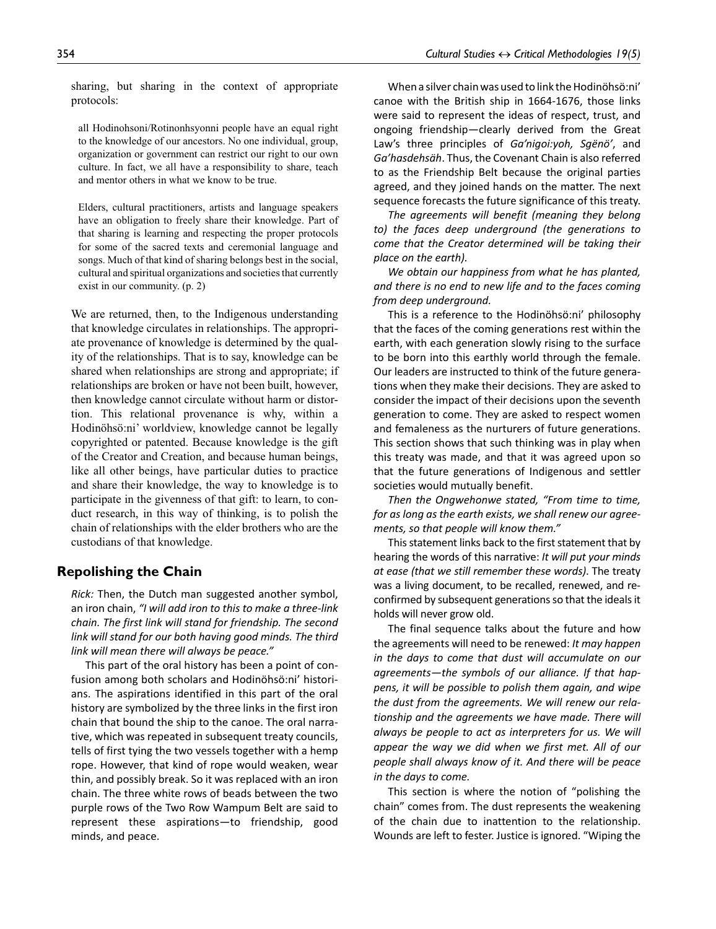sharing, but sharing in the context of appropriate protocols:

all Hodinohsoni/Rotinonhsyonni people have an equal right to the knowledge of our ancestors. No one individual, group, organization or government can restrict our right to our own culture. In fact, we all have a responsibility to share, teach and mentor others in what we know to be true.

Elders, cultural practitioners, artists and language speakers have an obligation to freely share their knowledge. Part of that sharing is learning and respecting the proper protocols for some of the sacred texts and ceremonial language and songs. Much of that kind of sharing belongs best in the social, cultural and spiritual organizations and societies that currently exist in our community. (p. 2)

We are returned, then, to the Indigenous understanding that knowledge circulates in relationships. The appropriate provenance of knowledge is determined by the quality of the relationships. That is to say, knowledge can be shared when relationships are strong and appropriate; if relationships are broken or have not been built, however, then knowledge cannot circulate without harm or distortion. This relational provenance is why, within a Hodinöhsö:ni' worldview, knowledge cannot be legally copyrighted or patented. Because knowledge is the gift of the Creator and Creation, and because human beings, like all other beings, have particular duties to practice and share their knowledge, the way to knowledge is to participate in the givenness of that gift: to learn, to conduct research, in this way of thinking, is to polish the chain of relationships with the elder brothers who are the custodians of that knowledge.

### **Repolishing the Chain**

*Rick:* Then, the Dutch man suggested another symbol, an iron chain, *"I will add iron to this to make a three-link chain. The first link will stand for friendship. The second link will stand for our both having good minds. The third link will mean there will always be peace."* 

This part of the oral history has been a point of confusion among both scholars and Hodinöhsö:ni' historians. The aspirations identified in this part of the oral history are symbolized by the three links in the first iron chain that bound the ship to the canoe. The oral narrative, which was repeated in subsequent treaty councils, tells of first tying the two vessels together with a hemp rope. However, that kind of rope would weaken, wear thin, and possibly break. So it was replaced with an iron chain. The three white rows of beads between the two purple rows of the Two Row Wampum Belt are said to represent these aspirations—to friendship, good minds, and peace.

When a silver chain was used to link the Hodinöhsö:ni' canoe with the British ship in 1664-1676, those links were said to represent the ideas of respect, trust, and ongoing friendship—clearly derived from the Great Law's three principles of *Ga'nigoi:yoh, Sgënö'*, and *Ga'hasdehsäh*. Thus, the Covenant Chain is also referred to as the Friendship Belt because the original parties agreed, and they joined hands on the matter. The next sequence forecasts the future significance of this treaty.

*The agreements will benefit (meaning they belong to) the faces deep underground (the generations to come that the Creator determined will be taking their place on the earth).* 

*We obtain our happiness from what he has planted, and there is no end to new life and to the faces coming from deep underground.* 

This is a reference to the Hodinöhsö:ni' philosophy that the faces of the coming generations rest within the earth, with each generation slowly rising to the surface to be born into this earthly world through the female. Our leaders are instructed to think of the future generations when they make their decisions. They are asked to consider the impact of their decisions upon the seventh generation to come. They are asked to respect women and femaleness as the nurturers of future generations. This section shows that such thinking was in play when this treaty was made, and that it was agreed upon so that the future generations of Indigenous and settler societies would mutually benefit.

*Then the Ongwehonwe stated, "From time to time, for as long as the earth exists, we shall renew our agreements, so that people will know them."* 

This statement links back to the first statement that by hearing the words of this narrative: *It will put your minds at ease (that we still remember these words)*. The treaty was a living document, to be recalled, renewed, and reconfirmed by subsequent generations so that the ideals it holds will never grow old.

The final sequence talks about the future and how the agreements will need to be renewed: *It may happen in the days to come that dust will accumulate on our agreements—the symbols of our alliance. If that happens, it will be possible to polish them again, and wipe the dust from the agreements. We will renew our relationship and the agreements we have made. There will always be people to act as interpreters for us. We will appear the way we did when we first met. All of our people shall always know of it. And there will be peace in the days to come.* 

This section is where the notion of "polishing the chain" comes from. The dust represents the weakening of the chain due to inattention to the relationship. Wounds are left to fester. Justice is ignored. "Wiping the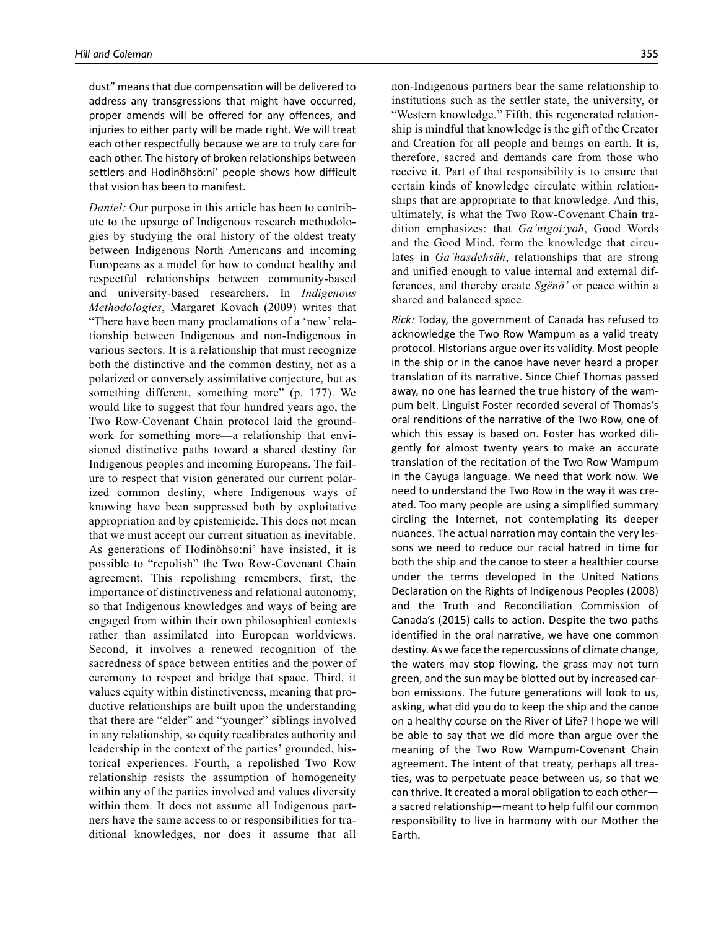dust" means that due compensation will be delivered to address any transgressions that might have occurred, proper amends will be offered for any offences, and injuries to either party will be made right. We will treat each other respectfully because we are to truly care for each other. The history of broken relationships between settlers and Hodinöhsö:ni' people shows how difficult that vision has been to manifest.

*Daniel:* Our purpose in this article has been to contribute to the upsurge of Indigenous research methodologies by studying the oral history of the oldest treaty between Indigenous North Americans and incoming Europeans as a model for how to conduct healthy and respectful relationships between community-based and university-based researchers. In *Indigenous Methodologies*, Margaret Kovach (2009) writes that "There have been many proclamations of a 'new' relationship between Indigenous and non-Indigenous in various sectors. It is a relationship that must recognize both the distinctive and the common destiny, not as a polarized or conversely assimilative conjecture, but as something different, something more" (p. 177). We would like to suggest that four hundred years ago, the Two Row-Covenant Chain protocol laid the groundwork for something more—a relationship that envisioned distinctive paths toward a shared destiny for Indigenous peoples and incoming Europeans. The failure to respect that vision generated our current polarized common destiny, where Indigenous ways of knowing have been suppressed both by exploitative appropriation and by epistemicide. This does not mean that we must accept our current situation as inevitable. As generations of Hodinöhsö:ni' have insisted, it is possible to "repolish" the Two Row-Covenant Chain agreement. This repolishing remembers, first, the importance of distinctiveness and relational autonomy, so that Indigenous knowledges and ways of being are engaged from within their own philosophical contexts rather than assimilated into European worldviews. Second, it involves a renewed recognition of the sacredness of space between entities and the power of ceremony to respect and bridge that space. Third, it values equity within distinctiveness, meaning that productive relationships are built upon the understanding that there are "elder" and "younger" siblings involved in any relationship, so equity recalibrates authority and leadership in the context of the parties' grounded, historical experiences. Fourth, a repolished Two Row relationship resists the assumption of homogeneity within any of the parties involved and values diversity within them. It does not assume all Indigenous partners have the same access to or responsibilities for traditional knowledges, nor does it assume that all non-Indigenous partners bear the same relationship to institutions such as the settler state, the university, or "Western knowledge." Fifth, this regenerated relationship is mindful that knowledge is the gift of the Creator and Creation for all people and beings on earth. It is, therefore, sacred and demands care from those who receive it. Part of that responsibility is to ensure that certain kinds of knowledge circulate within relationships that are appropriate to that knowledge. And this, ultimately, is what the Two Row-Covenant Chain tradition emphasizes: that *Ga'nigoi:yoh*, Good Words and the Good Mind, form the knowledge that circulates in *Ga'hasdehsäh*, relationships that are strong and unified enough to value internal and external differences, and thereby create *Sgënö'* or peace within a shared and balanced space.

*Rick:* Today, the government of Canada has refused to acknowledge the Two Row Wampum as a valid treaty protocol. Historians argue over its validity. Most people in the ship or in the canoe have never heard a proper translation of its narrative. Since Chief Thomas passed away, no one has learned the true history of the wampum belt. Linguist Foster recorded several of Thomas's oral renditions of the narrative of the Two Row, one of which this essay is based on. Foster has worked diligently for almost twenty years to make an accurate translation of the recitation of the Two Row Wampum in the Cayuga language. We need that work now. We need to understand the Two Row in the way it was created. Too many people are using a simplified summary circling the Internet, not contemplating its deeper nuances. The actual narration may contain the very lessons we need to reduce our racial hatred in time for both the ship and the canoe to steer a healthier course under the terms developed in the United Nations Declaration on the Rights of Indigenous Peoples (2008) and the Truth and Reconciliation Commission of Canada's (2015) calls to action. Despite the two paths identified in the oral narrative, we have one common destiny. As we face the repercussions of climate change, the waters may stop flowing, the grass may not turn green, and the sun may be blotted out by increased carbon emissions. The future generations will look to us, asking, what did you do to keep the ship and the canoe on a healthy course on the River of Life? I hope we will be able to say that we did more than argue over the meaning of the Two Row Wampum-Covenant Chain agreement. The intent of that treaty, perhaps all treaties, was to perpetuate peace between us, so that we can thrive. It created a moral obligation to each other a sacred relationship—meant to help fulfil our common responsibility to live in harmony with our Mother the Earth.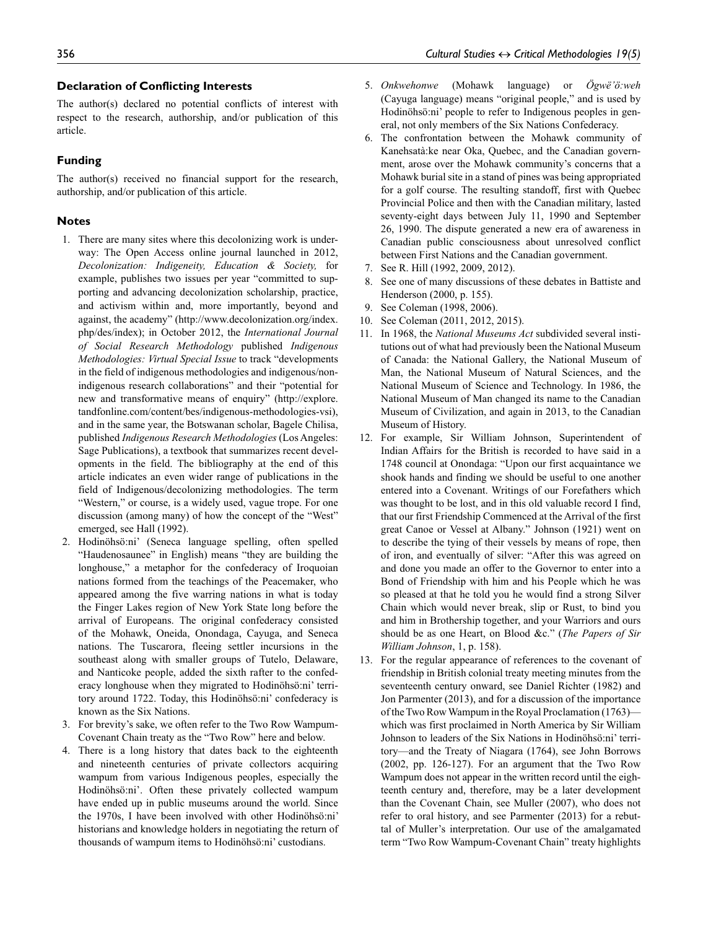### **Declaration of Conflicting Interests**

The author(s) declared no potential conflicts of interest with respect to the research, authorship, and/or publication of this article.

### **Funding**

The author(s) received no financial support for the research, authorship, and/or publication of this article.

#### **Notes**

- 1. There are many sites where this decolonizing work is underway: The Open Access online journal launched in 2012, *Decolonization: Indigeneity, Education & Society,* for example, publishes two issues per year "committed to supporting and advancing decolonization scholarship, practice, and activism within and, more importantly, beyond and against, the academy" ([http://www.decolonization.org/index.](http://www.decolonization.org/index.php/des/index)  [php/des/index](http://www.decolonization.org/index.php/des/index)); in October 2012, the *International Journal of Social Research Methodology* published *Indigenous Methodologies: Virtual Special Issue* to track "developments in the field of indigenous methodologies and indigenous/nonindigenous research collaborations" and their "potential for new and transformative means of enquiry" [\(http://explore.](http://explore.tandfonline.com/content/bes/indigenous-methodologies-vsi)  [tandfonline.com/content/bes/indigenous-methodologies-vsi\)](http://explore.tandfonline.com/content/bes/indigenous-methodologies-vsi), and in the same year, the Botswanan scholar, Bagele Chilisa, published *Indigenous Research Methodologies* (Los Angeles: Sage Publications), a textbook that summarizes recent developments in the field. The bibliography at the end of this article indicates an even wider range of publications in the field of Indigenous/decolonizing methodologies. The term "Western," or course, is a widely used, vague trope. For one discussion (among many) of how the concept of the "West" emerged, see Hall (1992).
- 2. Hodinöhsö:ni' (Seneca language spelling, often spelled "Haudenosaunee" in English) means "they are building the longhouse," a metaphor for the confederacy of Iroquoian nations formed from the teachings of the Peacemaker, who appeared among the five warring nations in what is today the Finger Lakes region of New York State long before the arrival of Europeans. The original confederacy consisted of the Mohawk, Oneida, Onondaga, Cayuga, and Seneca nations. The Tuscarora, fleeing settler incursions in the southeast along with smaller groups of Tutelo, Delaware, and Nanticoke people, added the sixth rafter to the confederacy longhouse when they migrated to Hodinöhsö:ni' territory around 1722. Today, this Hodinöhsö:ni' confederacy is known as the Six Nations.
- 3. For brevity's sake, we often refer to the Two Row Wampum-Covenant Chain treaty as the "Two Row" here and below.
- 4. There is a long history that dates back to the eighteenth and nineteenth centuries of private collectors acquiring wampum from various Indigenous peoples, especially the Hodinöhsö:ni'. Often these privately collected wampum have ended up in public museums around the world. Since the 1970s, I have been involved with other Hodinöhsö:ni' historians and knowledge holders in negotiating the return of thousands of wampum items to Hodinöhsö:ni' custodians.
- 5. *Onkwehonwe* (Mohawk language) or *Ögwë'ö:weh*  (Cayuga language) means "original people," and is used by Hodinöhsö:ni' people to refer to Indigenous peoples in general, not only members of the Six Nations Confederacy.
- 6. The confrontation between the Mohawk community of Kanehsatà:ke near Oka, Quebec, and the Canadian government, arose over the Mohawk community's concerns that a Mohawk burial site in a stand of pines was being appropriated for a golf course. The resulting standoff, first with Quebec Provincial Police and then with the Canadian military, lasted seventy-eight days between July 11, 1990 and September 26, 1990. The dispute generated a new era of awareness in Canadian public consciousness about unresolved conflict between First Nations and the Canadian government.
- 7. See R. Hill (1992, 2009, 2012).
- 8. See one of many discussions of these debates in Battiste and Henderson (2000, p. 155).
- 9. See Coleman (1998, 2006).
- 10. See Coleman (2011, 2012, 2015).
- 11. In 1968, the *National Museums Act* subdivided several institutions out of what had previously been the National Museum of Canada: the National Gallery, the National Museum of Man, the National Museum of Natural Sciences, and the National Museum of Science and Technology. In 1986, the National Museum of Man changed its name to the Canadian Museum of Civilization, and again in 2013, to the Canadian Museum of History.
- 12. For example, Sir William Johnson, Superintendent of Indian Affairs for the British is recorded to have said in a 1748 council at Onondaga: "Upon our first acquaintance we shook hands and finding we should be useful to one another entered into a Covenant. Writings of our Forefathers which was thought to be lost, and in this old valuable record I find, that our first Friendship Commenced at the Arrival of the first great Canoe or Vessel at Albany." Johnson (1921) went on to describe the tying of their vessels by means of rope, then of iron, and eventually of silver: "After this was agreed on and done you made an offer to the Governor to enter into a Bond of Friendship with him and his People which he was so pleased at that he told you he would find a strong Silver Chain which would never break, slip or Rust, to bind you and him in Brothership together, and your Warriors and ours should be as one Heart, on Blood &c." (*The Papers of Sir William Johnson*, 1, p. 158).
- 13. For the regular appearance of references to the covenant of friendship in British colonial treaty meeting minutes from the seventeenth century onward, see Daniel Richter (1982) and Jon Parmenter (2013), and for a discussion of the importance of the Two Row Wampum in the Royal Proclamation (1763) which was first proclaimed in North America by Sir William Johnson to leaders of the Six Nations in Hodinöhsö:ni' territory—and the Treaty of Niagara (1764), see John Borrows (2002, pp. 126-127). For an argument that the Two Row Wampum does not appear in the written record until the eighteenth century and, therefore, may be a later development than the Covenant Chain, see Muller (2007), who does not refer to oral history, and see Parmenter (2013) for a rebuttal of Muller's interpretation. Our use of the amalgamated term "Two Row Wampum-Covenant Chain" treaty highlights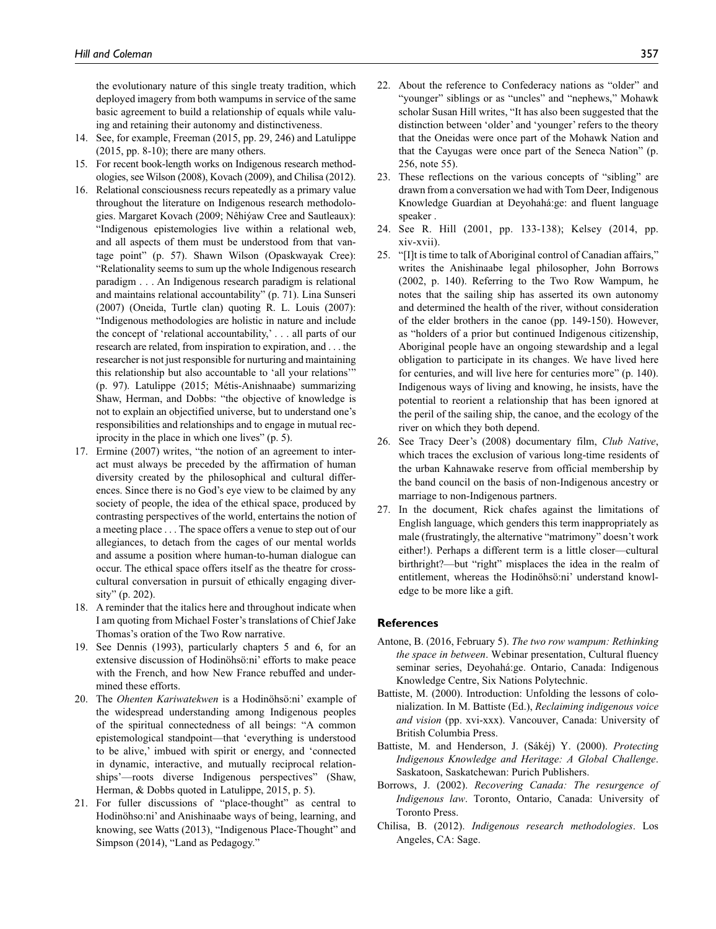the evolutionary nature of this single treaty tradition, which deployed imagery from both wampums in service of the same basic agreement to build a relationship of equals while valuing and retaining their autonomy and distinctiveness.

- 14. See, for example, Freeman (2015, pp. 29, 246) and Latulippe (2015, pp. 8-10); there are many others.
- 15. For recent book-length works on Indigenous research methodologies, see Wilson (2008), Kovach (2009), and Chilisa (2012).
- 16. Relational consciousness recurs repeatedly as a primary value throughout the literature on Indigenous research methodologies. Margaret Kovach (2009; Nêhiýaw Cree and Sautleaux): "Indigenous epistemologies live within a relational web, and all aspects of them must be understood from that vantage point" (p. 57). Shawn Wilson (Opaskwayak Cree): "Relationality seems to sum up the whole Indigenous research paradigm . . . An Indigenous research paradigm is relational and maintains relational accountability" (p. 71). Lina Sunseri (2007) (Oneida, Turtle clan) quoting R. L. Louis (2007): "Indigenous methodologies are holistic in nature and include the concept of 'relational accountability,' . . . all parts of our research are related, from inspiration to expiration, and . . . the researcher is not just responsible for nurturing and maintaining this relationship but also accountable to 'all your relations'" (p. 97). Latulippe (2015; Métis-Anishnaabe) summarizing Shaw, Herman, and Dobbs: "the objective of knowledge is not to explain an objectified universe, but to understand one's responsibilities and relationships and to engage in mutual reciprocity in the place in which one lives" (p. 5).
- 17. Ermine (2007) writes, "the notion of an agreement to interact must always be preceded by the affirmation of human diversity created by the philosophical and cultural differences. Since there is no God's eye view to be claimed by any society of people, the idea of the ethical space, produced by contrasting perspectives of the world, entertains the notion of a meeting place . . . The space offers a venue to step out of our allegiances, to detach from the cages of our mental worlds and assume a position where human-to-human dialogue can occur. The ethical space offers itself as the theatre for crosscultural conversation in pursuit of ethically engaging diversity" (p. 202).
- 18. A reminder that the italics here and throughout indicate when I am quoting from Michael Foster's translations of Chief Jake Thomas's oration of the Two Row narrative.
- 19. See Dennis (1993), particularly chapters 5 and 6, for an extensive discussion of Hodinöhsö:ni' efforts to make peace with the French, and how New France rebuffed and undermined these efforts.
- 20. The *Ohenten Kariwatekwen* is a Hodinöhsö:ni' example of the widespread understanding among Indigenous peoples of the spiritual connectedness of all beings: "A common epistemological standpoint—that 'everything is understood to be alive,' imbued with spirit or energy, and 'connected in dynamic, interactive, and mutually reciprocal relationships'—roots diverse Indigenous perspectives" (Shaw, Herman, & Dobbs quoted in Latulippe, 2015, p. 5).
- 21. For fuller discussions of "place-thought" as central to Hodinöhso:ni' and Anishinaabe ways of being, learning, and knowing, see Watts (2013), "Indigenous Place-Thought" and Simpson (2014), "Land as Pedagogy."
- 22. About the reference to Confederacy nations as "older" and "younger" siblings or as "uncles" and "nephews," Mohawk scholar Susan Hill writes, "It has also been suggested that the distinction between 'older' and 'younger' refers to the theory that the Oneidas were once part of the Mohawk Nation and that the Cayugas were once part of the Seneca Nation" (p. 256, note 55).
- 23. These reflections on the various concepts of "sibling" are drawn from a conversation we had with Tom Deer, Indigenous Knowledge Guardian at Deyohahá:ge: and fluent language speaker .
- 24. See R. Hill (2001, pp. 133-138); Kelsey (2014, pp. xiv-xvii).
- 25. "[I]t is time to talk of Aboriginal control of Canadian affairs," writes the Anishinaabe legal philosopher, John Borrows (2002, p. 140). Referring to the Two Row Wampum, he notes that the sailing ship has asserted its own autonomy and determined the health of the river, without consideration of the elder brothers in the canoe (pp. 149-150). However, as "holders of a prior but continued Indigenous citizenship, Aboriginal people have an ongoing stewardship and a legal obligation to participate in its changes. We have lived here for centuries, and will live here for centuries more" (p. 140). Indigenous ways of living and knowing, he insists, have the potential to reorient a relationship that has been ignored at the peril of the sailing ship, the canoe, and the ecology of the river on which they both depend.
- 26. See Tracy Deer's (2008) documentary film, *Club Native*, which traces the exclusion of various long-time residents of the urban Kahnawake reserve from official membership by the band council on the basis of non-Indigenous ancestry or marriage to non-Indigenous partners.
- 27. In the document, Rick chafes against the limitations of English language, which genders this term inappropriately as male (frustratingly, the alternative "matrimony" doesn't work either!). Perhaps a different term is a little closer—cultural birthright?—but "right" misplaces the idea in the realm of entitlement, whereas the Hodinöhsö:ni' understand knowledge to be more like a gift.

### **References**

- Antone, B. (2016, February 5). *The two row wampum: Rethinking the space in between*. Webinar presentation, Cultural fluency seminar series, Deyohahá:ge. Ontario, Canada: Indigenous Knowledge Centre, Six Nations Polytechnic.
- Battiste, M. (2000). Introduction: Unfolding the lessons of colonialization. In M. Battiste (Ed.), *Reclaiming indigenous voice and vision* (pp. xvi-xxx). Vancouver, Canada: University of British Columbia Press.
- Battiste, M. and Henderson, J. (Sákéj) Y. (2000). *Protecting Indigenous Knowledge and Heritage: A Global Challenge*. Saskatoon, Saskatchewan: Purich Publishers.
- Borrows, J. (2002). *Recovering Canada: The resurgence of Indigenous law*. Toronto, Ontario, Canada: University of Toronto Press.
- Chilisa, B. (2012). *Indigenous research methodologies*. Los Angeles, CA: Sage.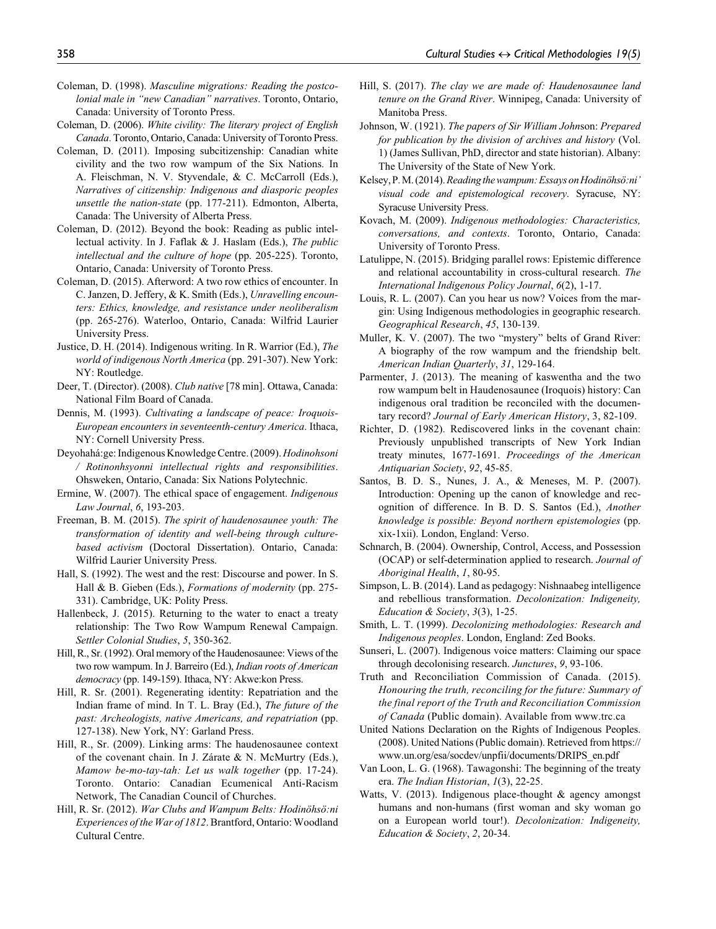- Coleman, D. (1998). *Masculine migrations: Reading the postcolonial male in "new Canadian" narratives*. Toronto, Ontario, Canada: University of Toronto Press.
- Coleman, D. (2006). *White civility: The literary project of English Canada*. Toronto, Ontario, Canada: University of Toronto Press.
- Coleman, D. (2011). Imposing subcitizenship: Canadian white civility and the two row wampum of the Six Nations. In A. Fleischman, N. V. Styvendale, & C. McCarroll (Eds.), *Narratives of citizenship: Indigenous and diasporic peoples unsettle the nation-state* (pp. 177-211). Edmonton, Alberta, Canada: The University of Alberta Press.
- Coleman, D. (2012). Beyond the book: Reading as public intellectual activity. In J. Faflak & J. Haslam (Eds.), *The public intellectual and the culture of hope* (pp. 205-225). Toronto, Ontario, Canada: University of Toronto Press.
- Coleman, D. (2015). Afterword: A two row ethics of encounter. In C. Janzen, D. Jeffery, & K. Smith (Eds.), *Unravelling encounters: Ethics, knowledge, and resistance under neoliberalism*  (pp. 265-276). Waterloo, Ontario, Canada: Wilfrid Laurier University Press.
- Justice, D. H. (2014). Indigenous writing. In R. Warrior (Ed.), *The world of indigenous North America* (pp. 291-307). New York: NY: Routledge.
- Deer, T. (Director). (2008). *Club native* [78 min]. Ottawa, Canada: National Film Board of Canada.
- Dennis, M. (1993). *Cultivating a landscape of peace: Iroquois-European encounters in seventeenth-century America*. Ithaca, NY: Cornell University Press.
- Deyohahá:ge: Indigenous Knowledge Centre. (2009). *Hodinohsoni / Rotinonhsyonni intellectual rights and responsibilities*. Ohsweken, Ontario, Canada: Six Nations Polytechnic.
- Ermine, W. (2007). The ethical space of engagement. *Indigenous Law Journal*, *6*, 193-203.
- Freeman, B. M. (2015). *The spirit of haudenosaunee youth: The transformation of identity and well-being through culturebased activism* (Doctoral Dissertation). Ontario, Canada: Wilfrid Laurier University Press.
- Hall, S. (1992). The west and the rest: Discourse and power. In S. Hall & B. Gieben (Eds.), *Formations of modernity* (pp. 275- 331). Cambridge, UK: Polity Press.
- Hallenbeck, J. (2015). Returning to the water to enact a treaty relationship: The Two Row Wampum Renewal Campaign. *Settler Colonial Studies*, *5*, 350-362.
- Hill, R., Sr. (1992). Oral memory of the Haudenosaunee: Views of the two row wampum. In J. Barreiro (Ed.), *Indian roots of American democracy* (pp. 149-159). Ithaca, NY: Akwe:kon Press.
- Hill, R. Sr. (2001). Regenerating identity: Repatriation and the Indian frame of mind. In T. L. Bray (Ed.), *The future of the past: Archeologists, native Americans, and repatriation* (pp. 127-138). New York, NY: Garland Press.
- Hill, R., Sr. (2009). Linking arms: The haudenosaunee context of the covenant chain. In J. Zárate & N. McMurtry (Eds.), *Mamow be-mo-tay-tah: Let us walk together* (pp. 17-24). Toronto. Ontario: Canadian Ecumenical Anti-Racism Network, The Canadian Council of Churches.
- Hill, R. Sr. (2012). *War Clubs and Wampum Belts: Hodinöhsö:ni Experiences of the War of 1812*. Brantford, Ontario: Woodland Cultural Centre.
- Hill, S. (2017). *The clay we are made of: Haudenosaunee land tenure on the Grand River*. Winnipeg, Canada: University of Manitoba Press.
- Johnson, W. (1921). *The papers of Sir William John*son: *Prepared for publication by the division of archives and history* (Vol. 1) (James Sullivan, PhD, director and state historian). Albany: The University of the State of New York.
- Kelsey, P. M. (2014). *Reading the wampum: Essays on Hodinöhsö:ni' visual code and epistemological recovery*. Syracuse, NY: Syracuse University Press.
- Kovach, M. (2009). *Indigenous methodologies: Characteristics, conversations, and contexts*. Toronto, Ontario, Canada: University of Toronto Press.
- Latulippe, N. (2015). Bridging parallel rows: Epistemic difference and relational accountability in cross-cultural research. *The International Indigenous Policy Journal*, *6*(2), 1-17.
- Louis, R. L. (2007). Can you hear us now? Voices from the margin: Using Indigenous methodologies in geographic research. *Geographical Research*, *45*, 130-139.
- Muller, K. V. (2007). The two "mystery" belts of Grand River: A biography of the row wampum and the friendship belt. *American Indian Quarterly*, *31*, 129-164.
- Parmenter, J. (2013). The meaning of kaswentha and the two row wampum belt in Haudenosaunee (Iroquois) history: Can indigenous oral tradition be reconciled with the documentary record? *Journal of Early American History*, 3, 82-109.
- Richter, D. (1982). Rediscovered links in the covenant chain: Previously unpublished transcripts of New York Indian treaty minutes, 1677-1691. *Proceedings of the American Antiquarian Society*, *92*, 45-85.
- Santos, B. D. S., Nunes, J. A., & Meneses, M. P. (2007). Introduction: Opening up the canon of knowledge and recognition of difference. In B. D. S. Santos (Ed.), *Another knowledge is possible: Beyond northern epistemologies* (pp. xix-1xii). London, England: Verso.
- Schnarch, B. (2004). Ownership, Control, Access, and Possession (OCAP) or self-determination applied to research. *Journal of Aboriginal Health*, *1*, 80-95.
- Simpson, L. B. (2014). Land as pedagogy: Nishnaabeg intelligence and rebellious transformation. *Decolonization: Indigeneity, Education & Society*, *3*(3), 1-25.
- Smith, L. T. (1999). *Decolonizing methodologies: Research and Indigenous peoples*. London, England: Zed Books.
- Sunseri, L. (2007). Indigenous voice matters: Claiming our space through decolonising research. *Junctures*, *9*, 93-106.
- Truth and Reconciliation Commission of Canada. (2015). *Honouring the truth, reconciling for the future: Summary of the final report of the Truth and Reconciliation Commission of Canada* (Public domain). Available from<www.trc.ca>
- United Nations Declaration on the Rights of Indigenous Peoples. (2008). United Nations (Public domain). Retrieved from [https://](https://www.un.org/esa/socdev/unpfii/documents/DRIPS_en.pdf)  [www.un.org/esa/socdev/unpfii/documents/DRIPS\\_en.pdf](https://www.un.org/esa/socdev/unpfii/documents/DRIPS_en.pdf)
- Van Loon, L. G. (1968). Tawagonshi: The beginning of the treaty era. *The Indian Historian*, *1*(3), 22-25.
- Watts, V. (2013). Indigenous place-thought & agency amongst humans and non-humans (first woman and sky woman go on a European world tour!). *Decolonization: Indigeneity, Education & Society*, *2*, 20-34.